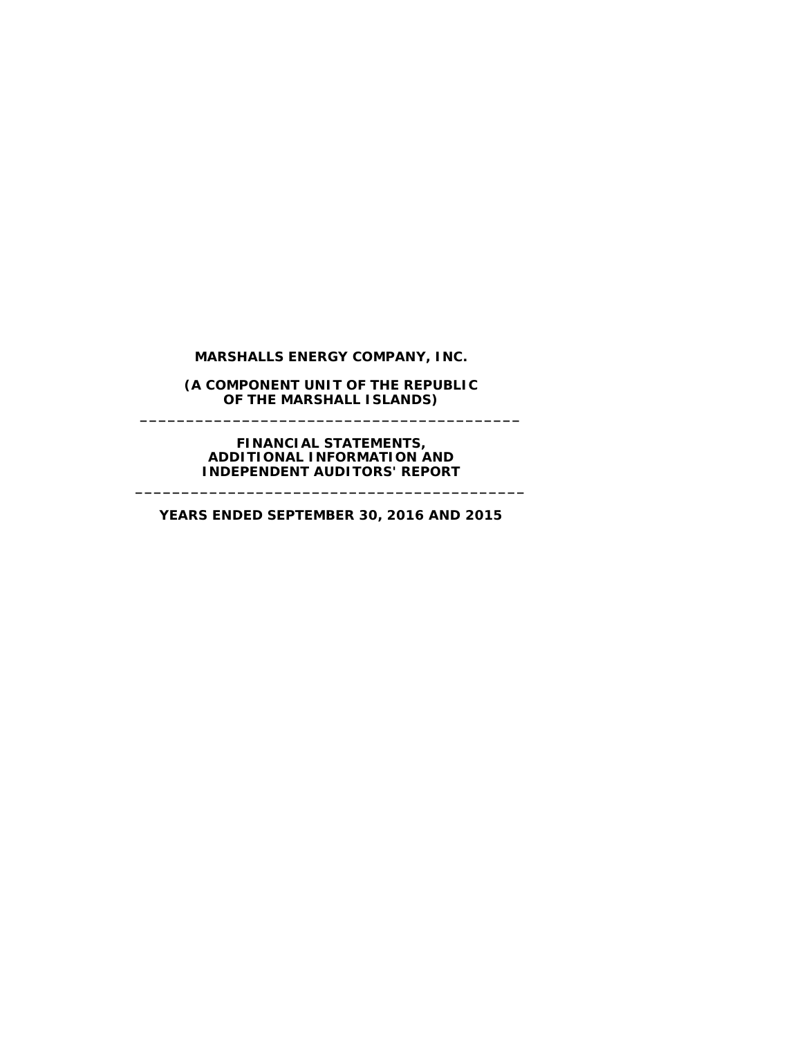# **MARSHALLS ENERGY COMPANY, INC.**

**(A COMPONENT UNIT OF THE REPUBLIC OF THE MARSHALL ISLANDS) \_\_\_\_\_\_\_\_\_\_\_\_\_\_\_\_\_\_\_\_\_\_\_\_\_\_\_\_\_\_\_\_\_\_\_\_\_\_\_\_\_**

> **FINANCIAL STATEMENTS, ADDITIONAL INFORMATION AND INDEPENDENT AUDITORS' REPORT**

**YEARS ENDED SEPTEMBER 30, 2016 AND 2015**

**\_\_\_\_\_\_\_\_\_\_\_\_\_\_\_\_\_\_\_\_\_\_\_\_\_\_\_\_\_\_\_\_\_\_\_\_\_\_\_\_\_\_**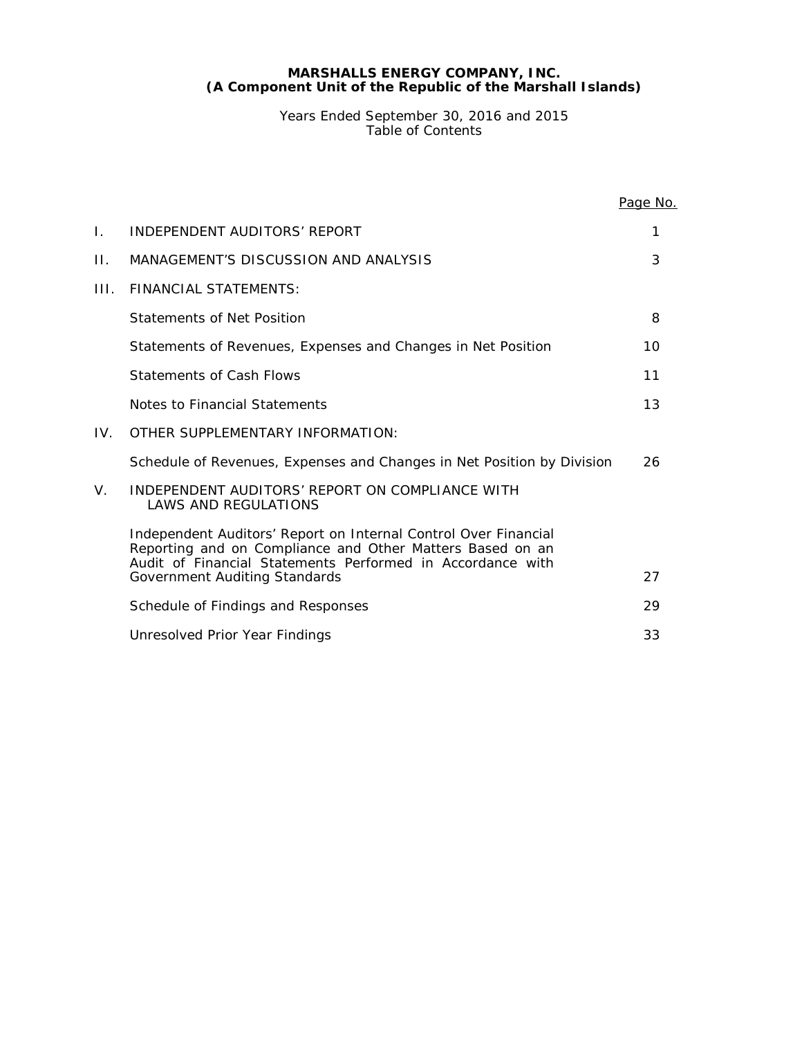Years Ended September 30, 2016 and 2015 Table of Contents

|     |                                                                                                                                                                                            | Page No. |
|-----|--------------------------------------------------------------------------------------------------------------------------------------------------------------------------------------------|----------|
| Ι.  | INDEPENDENT AUDITORS' REPORT                                                                                                                                                               | 1        |
| П.  | MANAGEMENT'S DISCUSSION AND ANALYSIS                                                                                                                                                       | 3        |
| HL. | <b>FINANCIAL STATEMENTS:</b>                                                                                                                                                               |          |
|     | Statements of Net Position                                                                                                                                                                 | 8        |
|     | Statements of Revenues, Expenses and Changes in Net Position                                                                                                                               | 10       |
|     | Statements of Cash Flows                                                                                                                                                                   | 11       |
|     | Notes to Financial Statements                                                                                                                                                              | 13       |
| IV. | OTHER SUPPLEMENTARY INFORMATION:                                                                                                                                                           |          |
|     | Schedule of Revenues, Expenses and Changes in Net Position by Division                                                                                                                     | 26       |
| V.  | INDEPENDENT AUDITORS' REPORT ON COMPLIANCE WITH<br><b>LAWS AND REGULATIONS</b>                                                                                                             |          |
|     | Independent Auditors' Report on Internal Control Over Financial<br>Reporting and on Compliance and Other Matters Based on an<br>Audit of Financial Statements Performed in Accordance with |          |
|     | Government Auditing Standards                                                                                                                                                              | 27       |
|     | Schedule of Findings and Responses                                                                                                                                                         | 29       |
|     | Unresolved Prior Year Findings                                                                                                                                                             | 33       |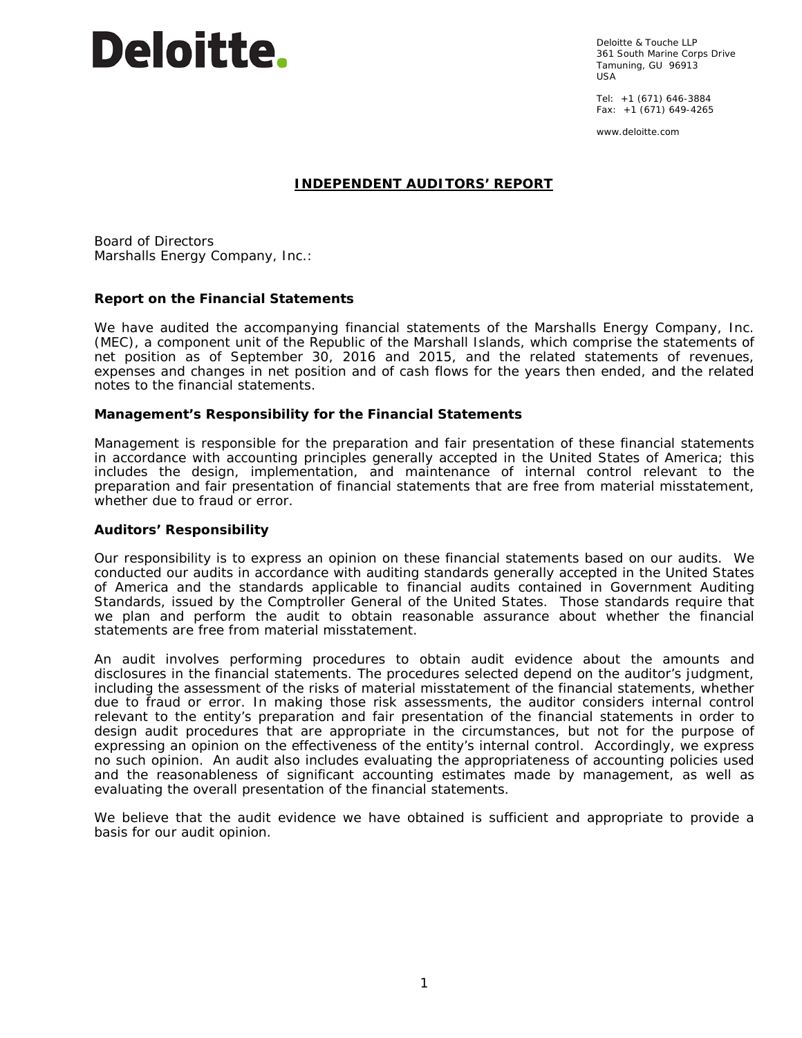# **Deloitte.**

Deloitte & Touche LLP 361 South Marine Corps Drive Tamuning, GU 96913 USA

Tel: +1 (671) 646-3884 Fax: +1 (671) 649-4265

www.deloitte.com

# **INDEPENDENT AUDITORS' REPORT**

Board of Directors Marshalls Energy Company, Inc.:

# **Report on the Financial Statements**

We have audited the accompanying financial statements of the Marshalls Energy Company, Inc. (MEC), a component unit of the Republic of the Marshall Islands, which comprise the statements of net position as of September 30, 2016 and 2015, and the related statements of revenues, expenses and changes in net position and of cash flows for the years then ended, and the related notes to the financial statements.

# *Management's Responsibility for the Financial Statements*

Management is responsible for the preparation and fair presentation of these financial statements in accordance with accounting principles generally accepted in the United States of America; this includes the design, implementation, and maintenance of internal control relevant to the preparation and fair presentation of financial statements that are free from material misstatement, whether due to fraud or error.

# *Auditors' Responsibility*

Our responsibility is to express an opinion on these financial statements based on our audits. We conducted our audits in accordance with auditing standards generally accepted in the United States of America and the standards applicable to financial audits contained in *Government Auditing Standards,* issued by the Comptroller General of the United States. Those standards require that we plan and perform the audit to obtain reasonable assurance about whether the financial statements are free from material misstatement.

An audit involves performing procedures to obtain audit evidence about the amounts and disclosures in the financial statements. The procedures selected depend on the auditor's judgment, including the assessment of the risks of material misstatement of the financial statements, whether due to fraud or error. In making those risk assessments, the auditor considers internal control relevant to the entity's preparation and fair presentation of the financial statements in order to design audit procedures that are appropriate in the circumstances, but not for the purpose of expressing an opinion on the effectiveness of the entity's internal control. Accordingly, we express no such opinion. An audit also includes evaluating the appropriateness of accounting policies used and the reasonableness of significant accounting estimates made by management, as well as evaluating the overall presentation of the financial statements.

We believe that the audit evidence we have obtained is sufficient and appropriate to provide a basis for our audit opinion.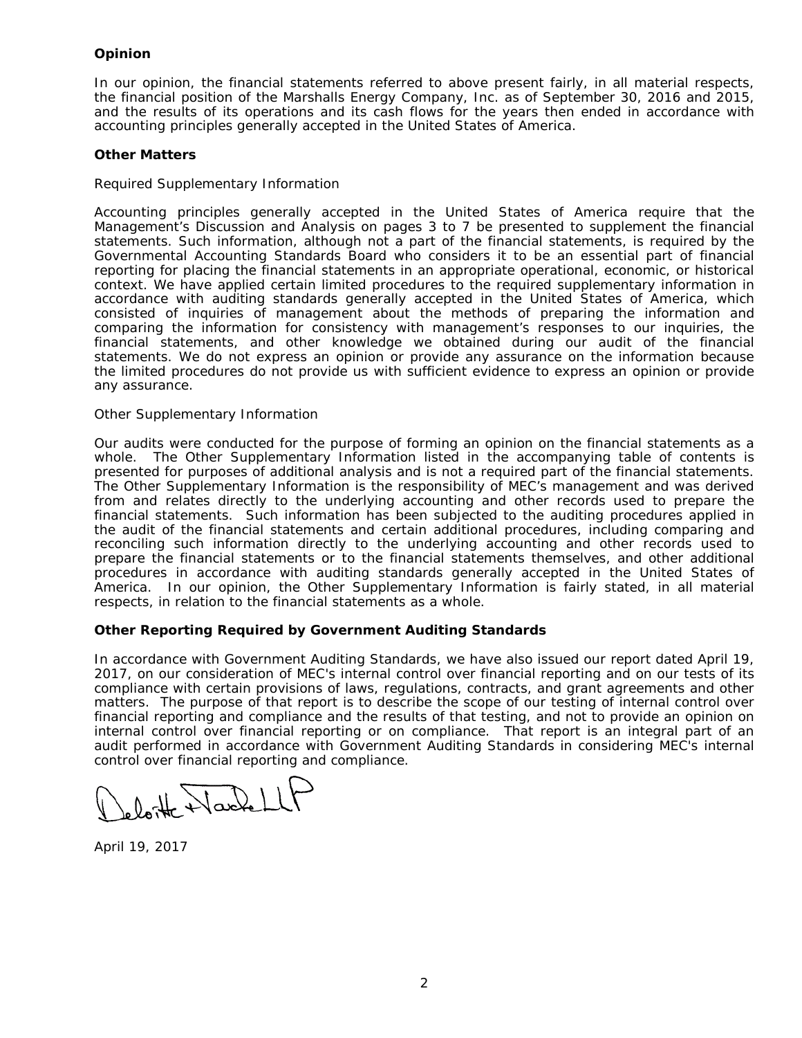# *Opinion*

In our opinion, the financial statements referred to above present fairly, in all material respects, the financial position of the Marshalls Energy Company, Inc. as of September 30, 2016 and 2015, and the results of its operations and its cash flows for the years then ended in accordance with accounting principles generally accepted in the United States of America.

# *Other Matters*

# *Required Supplementary Information*

Accounting principles generally accepted in the United States of America require that the Management's Discussion and Analysis on pages 3 to 7 be presented to supplement the financial statements. Such information, although not a part of the financial statements, is required by the Governmental Accounting Standards Board who considers it to be an essential part of financial reporting for placing the financial statements in an appropriate operational, economic, or historical context. We have applied certain limited procedures to the required supplementary information in accordance with auditing standards generally accepted in the United States of America, which consisted of inquiries of management about the methods of preparing the information and comparing the information for consistency with management's responses to our inquiries, the financial statements, and other knowledge we obtained during our audit of the financial statements. We do not express an opinion or provide any assurance on the information because the limited procedures do not provide us with sufficient evidence to express an opinion or provide any assurance.

# *Other Supplementary Information*

Our audits were conducted for the purpose of forming an opinion on the financial statements as a whole. The Other Supplementary Information listed in the accompanying table of contents is presented for purposes of additional analysis and is not a required part of the financial statements. The Other Supplementary Information is the responsibility of MEC's management and was derived from and relates directly to the underlying accounting and other records used to prepare the financial statements. Such information has been subjected to the auditing procedures applied in the audit of the financial statements and certain additional procedures, including comparing and reconciling such information directly to the underlying accounting and other records used to prepare the financial statements or to the financial statements themselves, and other additional procedures in accordance with auditing standards generally accepted in the United States of America. In our opinion, the Other Supplementary Information is fairly stated, in all material respects, in relation to the financial statements as a whole.

# **Other Reporting Required by** *Government Auditing Standards*

In accordance with *Government Auditing Standards*, we have also issued our report dated April 19, 2017, on our consideration of MEC's internal control over financial reporting and on our tests of its compliance with certain provisions of laws, regulations, contracts, and grant agreements and other matters. The purpose of that report is to describe the scope of our testing of internal control over financial reporting and compliance and the results of that testing, and not to provide an opinion on internal control over financial reporting or on compliance. That report is an integral part of an audit performed in accordance with *Government Auditing Standards* in considering MEC's internal control over financial reporting and compliance.

 $\sqrt{d}$ 

April 19, 2017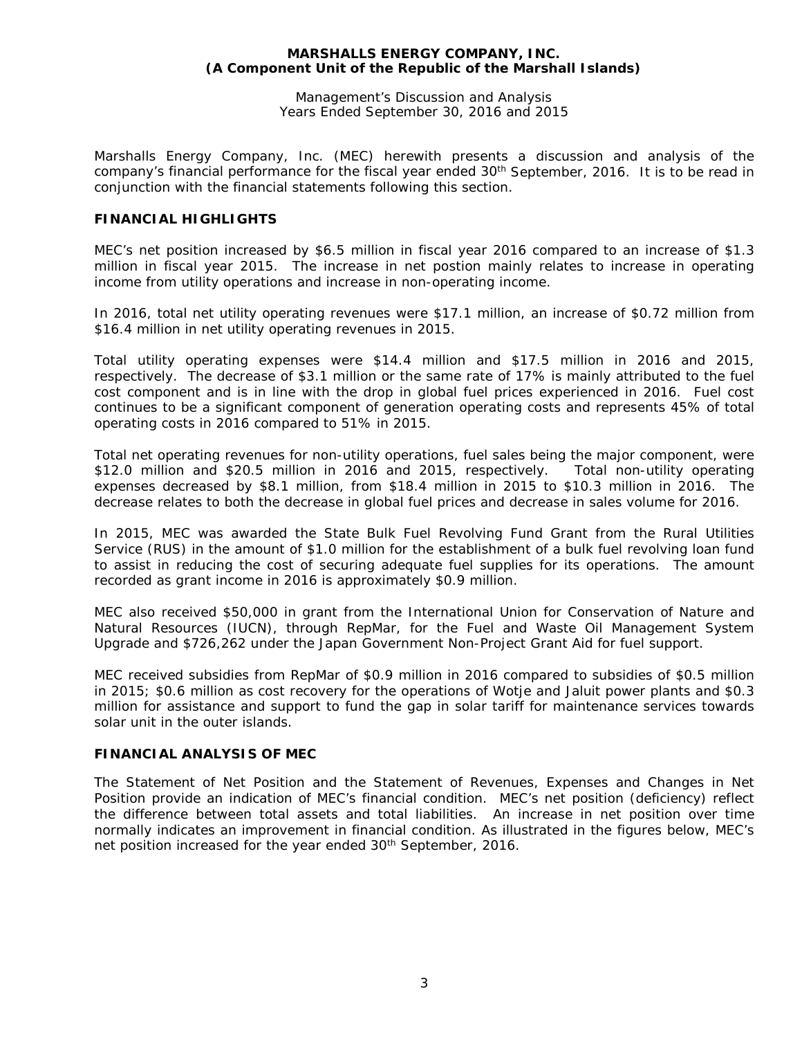Management's Discussion and Analysis Years Ended September 30, 2016 and 2015

Marshalls Energy Company, Inc. (MEC) herewith presents a discussion and analysis of the company's financial performance for the fiscal year ended 30<sup>th</sup> September, 2016. It is to be read in conjunction with the financial statements following this section.

# **FINANCIAL HIGHLIGHTS**

MEC's net position increased by \$6.5 million in fiscal year 2016 compared to an increase of \$1.3 million in fiscal year 2015. The increase in net postion mainly relates to increase in operating income from utility operations and increase in non-operating income.

In 2016, total net utility operating revenues were \$17.1 million, an increase of \$0.72 million from \$16.4 million in net utility operating revenues in 2015.

Total utility operating expenses were \$14.4 million and \$17.5 million in 2016 and 2015, respectively. The decrease of \$3.1 million or the same rate of 17% is mainly attributed to the fuel cost component and is in line with the drop in global fuel prices experienced in 2016. Fuel cost continues to be a significant component of generation operating costs and represents 45% of total operating costs in 2016 compared to 51% in 2015.

Total net operating revenues for non-utility operations, fuel sales being the major component, were \$12.0 million and \$20.5 million in 2016 and 2015, respectively. Total non-utility operating expenses decreased by \$8.1 million, from \$18.4 million in 2015 to \$10.3 million in 2016. The decrease relates to both the decrease in global fuel prices and decrease in sales volume for 2016.

In 2015, MEC was awarded the State Bulk Fuel Revolving Fund Grant from the Rural Utilities Service (RUS) in the amount of \$1.0 million for the establishment of a bulk fuel revolving loan fund to assist in reducing the cost of securing adequate fuel supplies for its operations. The amount recorded as grant income in 2016 is approximately \$0.9 million.

MEC also received \$50,000 in grant from the International Union for Conservation of Nature and Natural Resources (IUCN), through RepMar, for the Fuel and Waste Oil Management System Upgrade and \$726,262 under the Japan Government Non-Project Grant Aid for fuel support.

MEC received subsidies from RepMar of \$0.9 million in 2016 compared to subsidies of \$0.5 million in 2015; \$0.6 million as cost recovery for the operations of Wotje and Jaluit power plants and \$0.3 million for assistance and support to fund the gap in solar tariff for maintenance services towards solar unit in the outer islands.

# **FINANCIAL ANALYSIS OF MEC**

The Statement of Net Position and the Statement of Revenues, Expenses and Changes in Net Position provide an indication of MEC's financial condition. MEC's net position (deficiency) reflect the difference between total assets and total liabilities. An increase in net position over time normally indicates an improvement in financial condition. As illustrated in the figures below, MEC's net position increased for the year ended 30<sup>th</sup> September, 2016.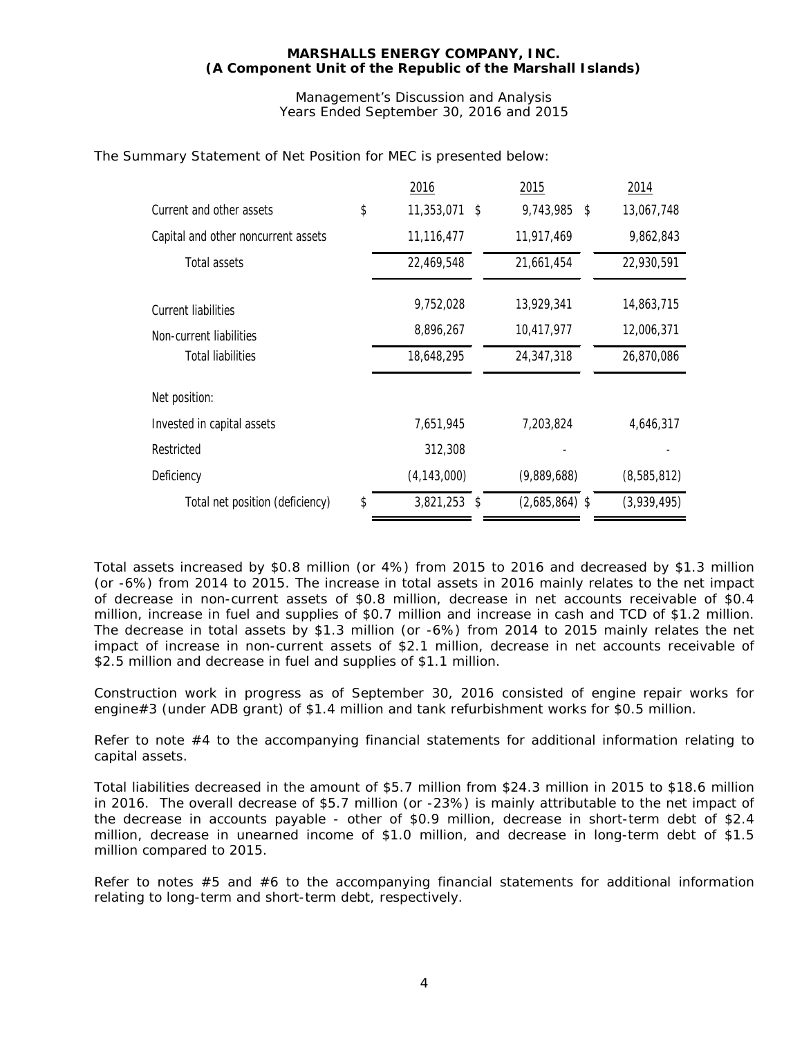Management's Discussion and Analysis Years Ended September 30, 2016 and 2015

|                                     | 2016                 | 2015             | 2014        |
|-------------------------------------|----------------------|------------------|-------------|
| Current and other assets            | \$<br>11,353,071 \$  | 9,743,985<br>\$  | 13,067,748  |
| Capital and other noncurrent assets | 11,116,477           | 11,917,469       | 9,862,843   |
| Total assets                        | 22,469,548           | 21,661,454       | 22,930,591  |
| Current liabilities                 | 9,752,028            | 13,929,341       | 14,863,715  |
| Non-current liabilities             | 8,896,267            | 10,417,977       | 12,006,371  |
| <b>Total liabilities</b>            | 18,648,295           | 24,347,318       | 26,870,086  |
| Net position:                       |                      |                  |             |
| Invested in capital assets          | 7,651,945            | 7,203,824        | 4,646,317   |
| Restricted                          | 312,308              |                  |             |
| Deficiency                          | (4, 143, 000)        | (9,889,688)      | (8,585,812) |
| Total net position (deficiency)     | \$<br>$3,821,253$ \$ | $(2,685,864)$ \$ | (3,939,495) |

The Summary Statement of Net Position for MEC is presented below:

Total assets increased by \$0.8 million (or 4%) from 2015 to 2016 and decreased by \$1.3 million (or -6%) from 2014 to 2015. The increase in total assets in 2016 mainly relates to the net impact of decrease in non-current assets of \$0.8 million, decrease in net accounts receivable of \$0.4 million, increase in fuel and supplies of \$0.7 million and increase in cash and TCD of \$1.2 million. The decrease in total assets by \$1.3 million (or -6%) from 2014 to 2015 mainly relates the net impact of increase in non-current assets of \$2.1 million, decrease in net accounts receivable of \$2.5 million and decrease in fuel and supplies of \$1.1 million.

Construction work in progress as of September 30, 2016 consisted of engine repair works for engine#3 (under ADB grant) of \$1.4 million and tank refurbishment works for \$0.5 million.

Refer to note #4 to the accompanying financial statements for additional information relating to capital assets.

Total liabilities decreased in the amount of \$5.7 million from \$24.3 million in 2015 to \$18.6 million in 2016. The overall decrease of \$5.7 million (or -23%) is mainly attributable to the net impact of the decrease in accounts payable - other of \$0.9 million, decrease in short-term debt of \$2.4 million, decrease in unearned income of \$1.0 million, and decrease in long-term debt of \$1.5 million compared to 2015.

Refer to notes  $#5$  and  $#6$  to the accompanying financial statements for additional information relating to long-term and short-term debt, respectively.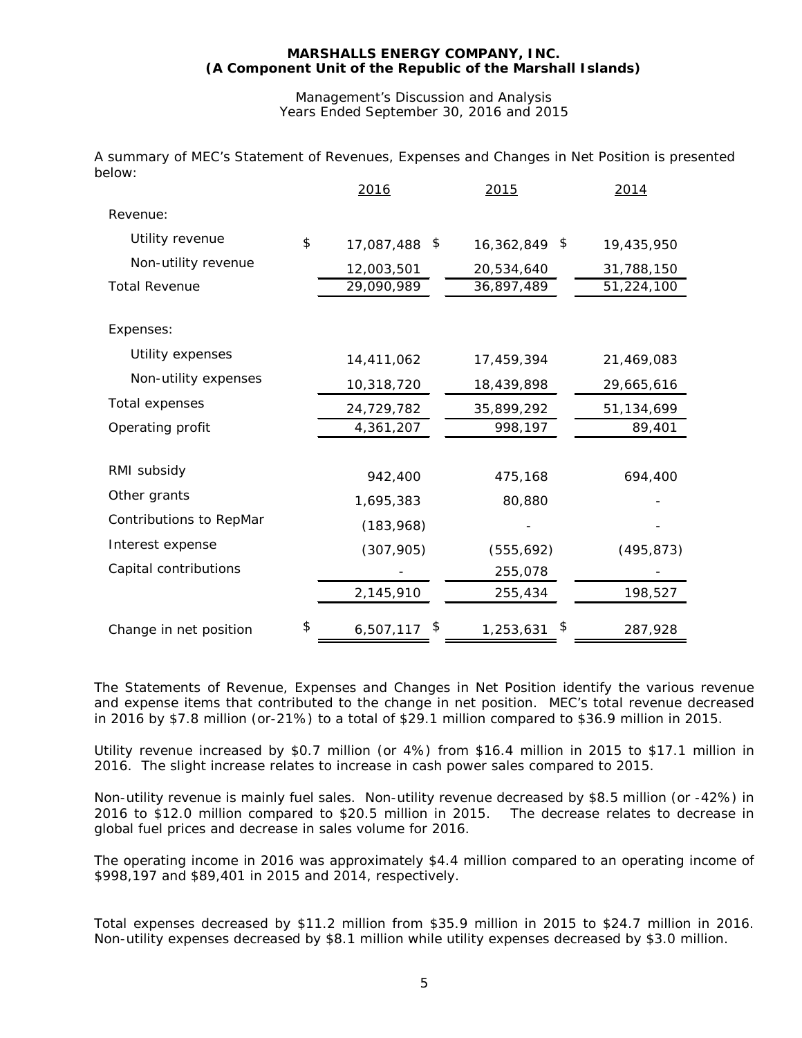# Management's Discussion and Analysis Years Ended September 30, 2016 and 2015

A summary of MEC's Statement of Revenues, Expenses and Changes in Net Position is presented below:

|                         | 2016                  | 2015            | 2014       |
|-------------------------|-----------------------|-----------------|------------|
| Revenue:                |                       |                 |            |
| Utility revenue         | \$<br>17,087,488 \$   | 16,362,849 \$   | 19,435,950 |
| Non-utility revenue     | 12,003,501            | 20,534,640      | 31,788,150 |
| <b>Total Revenue</b>    | 29,090,989            | 36,897,489      | 51,224,100 |
|                         |                       |                 |            |
| Expenses:               |                       |                 |            |
| Utility expenses        | 14,411,062            | 17,459,394      | 21,469,083 |
| Non-utility expenses    | 10,318,720            | 18,439,898      | 29,665,616 |
| Total expenses          | 24,729,782            | 35,899,292      | 51,134,699 |
| Operating profit        | 4,361,207             | 998,197         | 89,401     |
|                         |                       |                 |            |
| RMI subsidy             | 942,400               | 475,168         | 694,400    |
| Other grants            | 1,695,383             | 80,880          |            |
| Contributions to RepMar | (183, 968)            |                 |            |
| Interest expense        | (307, 905)            | (555, 692)      | (495, 873) |
| Capital contributions   |                       | 255,078         |            |
|                         | 2,145,910             | 255,434         | 198,527    |
| Change in net position  | \$<br>\$<br>6,507,117 | \$<br>1,253,631 | 287,928    |

The Statements of Revenue, Expenses and Changes in Net Position identify the various revenue and expense items that contributed to the change in net position. MEC's total revenue decreased in 2016 by \$7.8 million (or-21%) to a total of \$29.1 million compared to \$36.9 million in 2015.

Utility revenue increased by \$0.7 million (or 4%) from \$16.4 million in 2015 to \$17.1 million in 2016. The slight increase relates to increase in cash power sales compared to 2015.

Non-utility revenue is mainly fuel sales. Non-utility revenue decreased by \$8.5 million (or -42%) in 2016 to \$12.0 million compared to \$20.5 million in 2015. The decrease relates to decrease in global fuel prices and decrease in sales volume for 2016.

The operating income in 2016 was approximately \$4.4 million compared to an operating income of \$998,197 and \$89,401 in 2015 and 2014, respectively.

Total expenses decreased by \$11.2 million from \$35.9 million in 2015 to \$24.7 million in 2016. Non-utility expenses decreased by \$8.1 million while utility expenses decreased by \$3.0 million.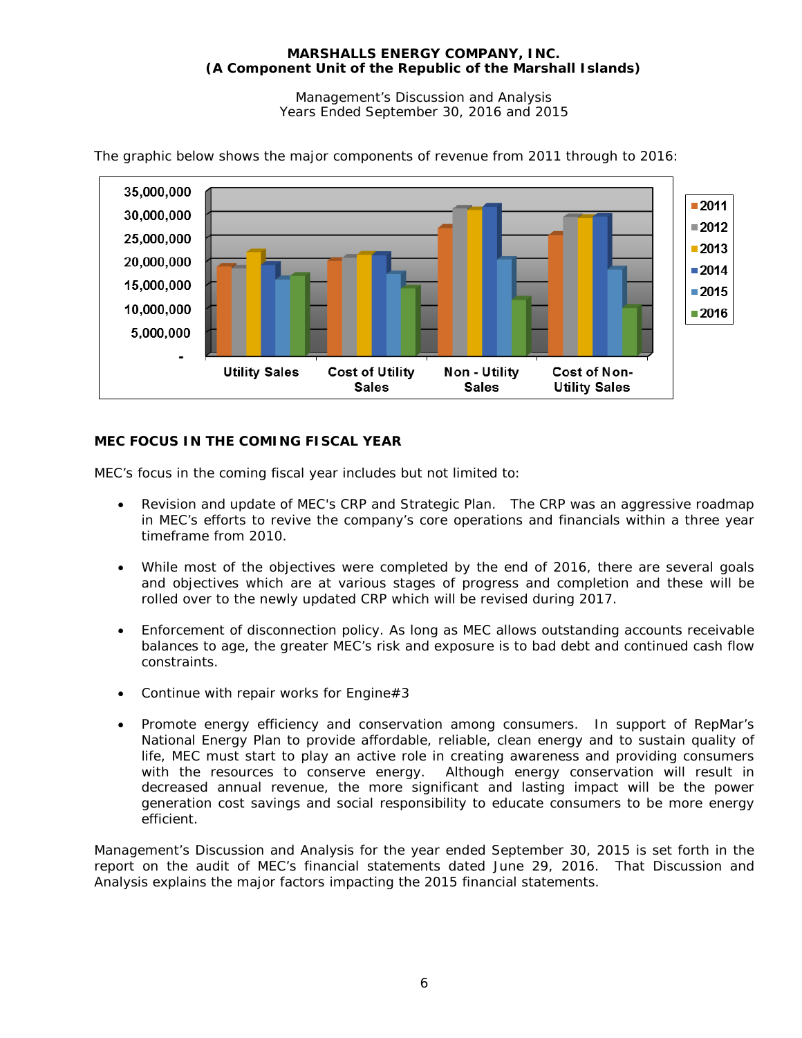Management's Discussion and Analysis Years Ended September 30, 2016 and 2015



The graphic below shows the major components of revenue from 2011 through to 2016:

# **MEC FOCUS IN THE COMING FISCAL YEAR**

MEC's focus in the coming fiscal year includes but not limited to:

- Revision and update of MEC's CRP and Strategic Plan. The CRP was an aggressive roadmap in MEC's efforts to revive the company's core operations and financials within a three year timeframe from 2010.
- While most of the objectives were completed by the end of 2016, there are several goals and objectives which are at various stages of progress and completion and these will be rolled over to the newly updated CRP which will be revised during 2017.
- Enforcement of disconnection policy. As long as MEC allows outstanding accounts receivable balances to age, the greater MEC's risk and exposure is to bad debt and continued cash flow constraints.
- Continue with repair works for Engine#3
- Promote energy efficiency and conservation among consumers. In support of RepMar's National Energy Plan to provide affordable, reliable, clean energy and to sustain quality of life, MEC must start to play an active role in creating awareness and providing consumers with the resources to conserve energy. Although energy conservation will result in decreased annual revenue, the more significant and lasting impact will be the power generation cost savings and social responsibility to educate consumers to be more energy efficient.

Management's Discussion and Analysis for the year ended September 30, 2015 is set forth in the report on the audit of MEC's financial statements dated June 29, 2016. That Discussion and Analysis explains the major factors impacting the 2015 financial statements.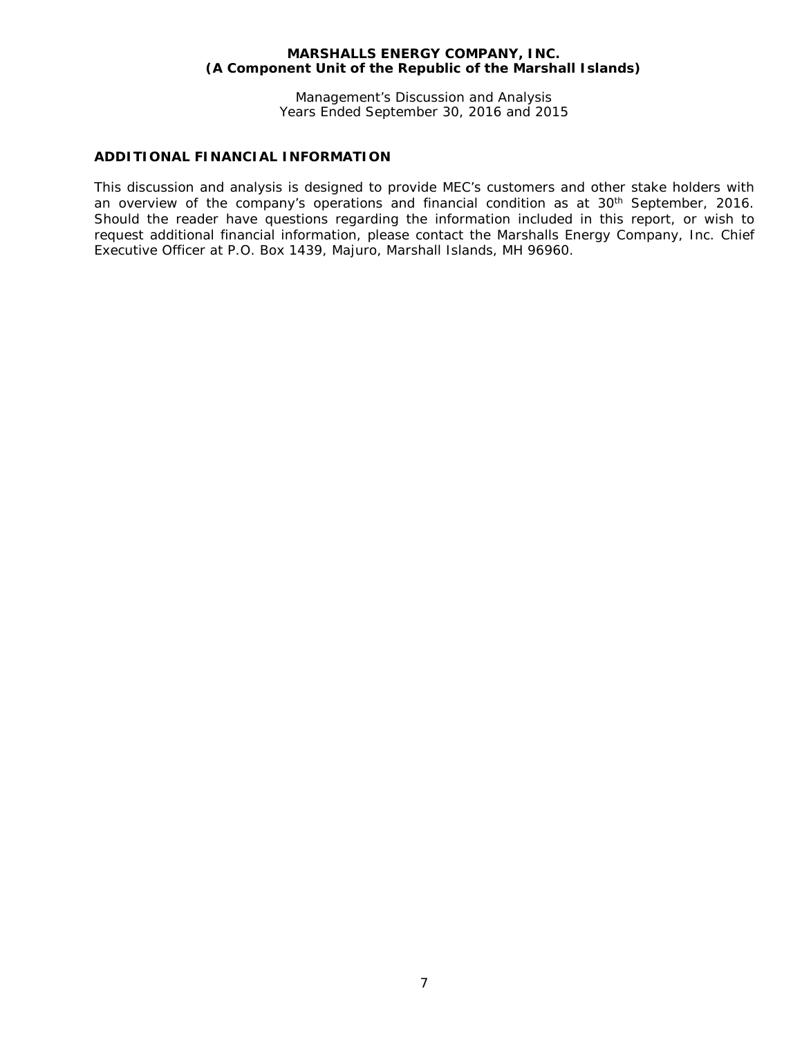Management's Discussion and Analysis Years Ended September 30, 2016 and 2015

# **ADDITIONAL FINANCIAL INFORMATION**

This discussion and analysis is designed to provide MEC's customers and other stake holders with an overview of the company's operations and financial condition as at 30<sup>th</sup> September, 2016. Should the reader have questions regarding the information included in this report, or wish to request additional financial information, please contact the Marshalls Energy Company, Inc. Chief Executive Officer at P.O. Box 1439, Majuro, Marshall Islands, MH 96960.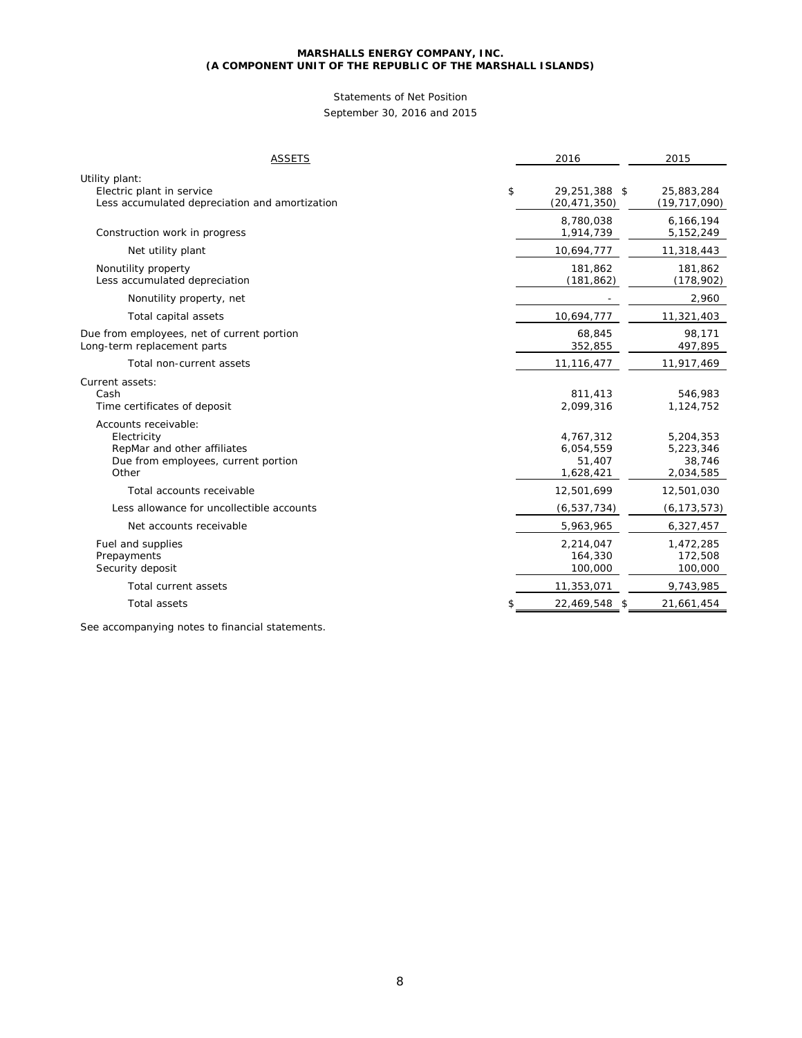# Statements of Net Position

September 30, 2016 and 2015

| <b>ASSETS</b>                                                                                                      | 2016                                          | 2015                                          |
|--------------------------------------------------------------------------------------------------------------------|-----------------------------------------------|-----------------------------------------------|
| Utility plant:<br>Electric plant in service<br>Less accumulated depreciation and amortization                      | \$<br>29,251,388 \$<br>(20, 471, 350)         | 25,883,284<br>(19, 717, 090)                  |
| Construction work in progress                                                                                      | 8,780,038<br>1,914,739                        | 6,166,194<br>5,152,249                        |
| Net utility plant                                                                                                  | 10,694,777                                    | 11,318,443                                    |
| Nonutility property<br>Less accumulated depreciation                                                               | 181,862<br>(181, 862)                         | 181,862<br>(178, 902)                         |
| Nonutility property, net                                                                                           |                                               | 2,960                                         |
| Total capital assets                                                                                               | 10,694,777                                    | 11,321,403                                    |
| Due from employees, net of current portion<br>Long-term replacement parts                                          | 68,845<br>352,855                             | 98,171<br>497,895                             |
| Total non-current assets                                                                                           | 11, 116, 477                                  | 11,917,469                                    |
| Current assets:<br>Cash<br>Time certificates of deposit                                                            | 811,413<br>2,099,316                          | 546,983<br>1,124,752                          |
| Accounts receivable:<br>Electricity<br>RepMar and other affiliates<br>Due from employees, current portion<br>Other | 4,767,312<br>6,054,559<br>51,407<br>1,628,421 | 5,204,353<br>5,223,346<br>38,746<br>2,034,585 |
| Total accounts receivable                                                                                          | 12,501,699                                    | 12,501,030                                    |
| Less allowance for uncollectible accounts                                                                          | (6, 537, 734)                                 | (6, 173, 573)                                 |
| Net accounts receivable                                                                                            | 5,963,965                                     | 6,327,457                                     |
| Fuel and supplies<br>Prepayments<br>Security deposit                                                               | 2,214,047<br>164,330<br>100,000               | 1,472,285<br>172,508<br>100,000               |
| Total current assets                                                                                               | 11,353,071                                    | 9,743,985                                     |
| <b>Total assets</b>                                                                                                | \$<br>22,469,548 \$                           | 21,661,454                                    |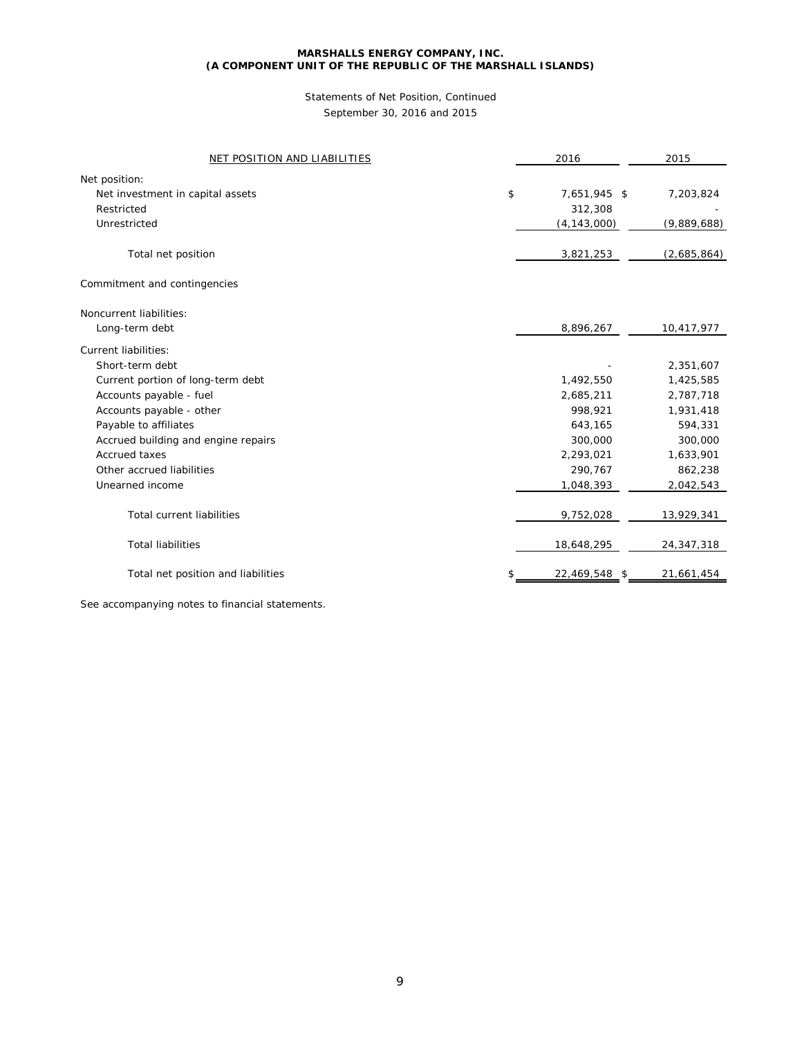# Statements of Net Position, Continued September 30, 2016 and 2015

| NET POSITION AND LIABILITIES        | 2016                | 2015         |
|-------------------------------------|---------------------|--------------|
| Net position:                       |                     |              |
| Net investment in capital assets    | \$<br>7,651,945 \$  | 7,203,824    |
| Restricted                          | 312,308             |              |
| Unrestricted                        | (4, 143, 000)       | (9,889,688)  |
|                                     |                     |              |
| Total net position                  | 3,821,253           | (2,685,864)  |
| Commitment and contingencies        |                     |              |
| Noncurrent liabilities:             |                     |              |
| Long-term debt                      | 8,896,267           | 10,417,977   |
| <b>Current liabilities:</b>         |                     |              |
| Short-term debt                     |                     | 2,351,607    |
| Current portion of long-term debt   | 1,492,550           | 1,425,585    |
| Accounts payable - fuel             | 2,685,211           | 2,787,718    |
| Accounts payable - other            | 998,921             | 1,931,418    |
| Payable to affiliates               | 643,165             | 594,331      |
| Accrued building and engine repairs | 300,000             | 300,000      |
| Accrued taxes                       | 2,293,021           | 1,633,901    |
| Other accrued liabilities           | 290,767             | 862,238      |
| Unearned income                     | 1,048,393           | 2,042,543    |
| <b>Total current liabilities</b>    | 9,752,028           | 13,929,341   |
| <b>Total liabilities</b>            | 18,648,295          | 24, 347, 318 |
| Total net position and liabilities  | \$<br>22,469,548 \$ | 21,661,454   |
|                                     |                     |              |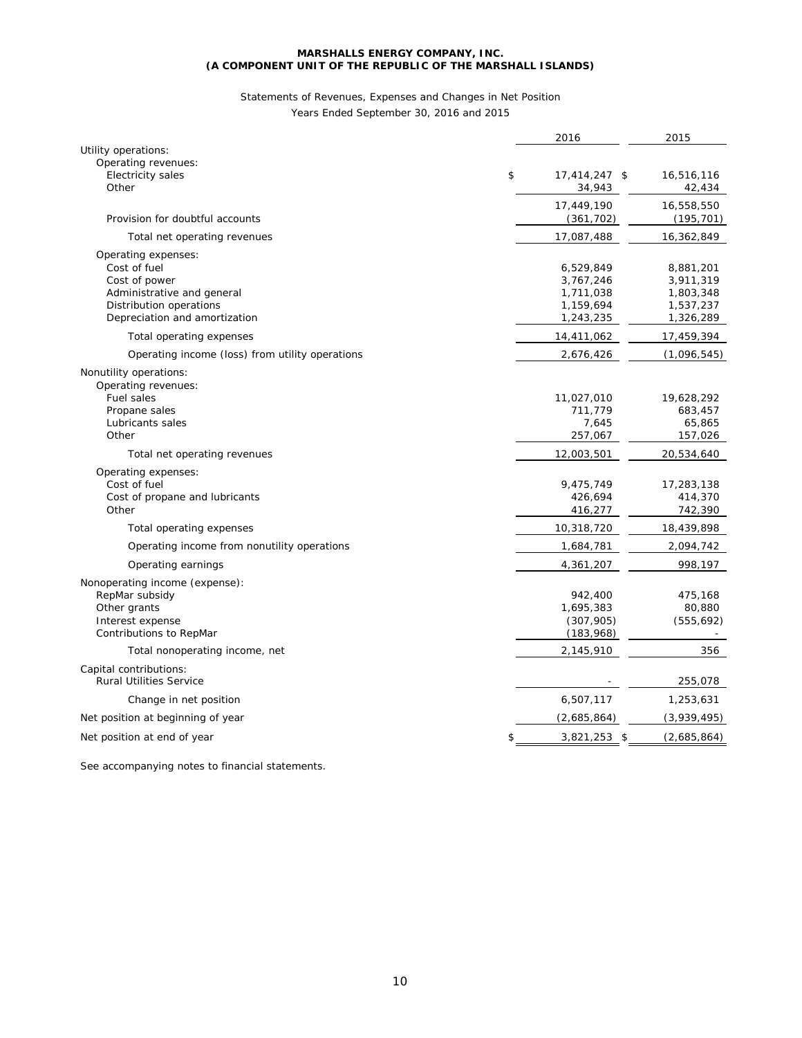# Statements of Revenues, Expenses and Changes in Net Position

Years Ended September 30, 2016 and 2015

|                                                                                                                                                | 2016                                                          | 2015                                                          |
|------------------------------------------------------------------------------------------------------------------------------------------------|---------------------------------------------------------------|---------------------------------------------------------------|
| Utility operations:<br>Operating revenues:<br>Electricity sales<br>Other                                                                       | \$<br>17,414,247 \$<br>34,943                                 | 16,516,116<br>42,434                                          |
| Provision for doubtful accounts                                                                                                                | 17,449,190<br>(361, 702)                                      | 16,558,550<br>(195, 701)                                      |
| Total net operating revenues                                                                                                                   | 17,087,488                                                    | 16,362,849                                                    |
| Operating expenses:<br>Cost of fuel<br>Cost of power<br>Administrative and general<br>Distribution operations<br>Depreciation and amortization | 6,529,849<br>3,767,246<br>1,711,038<br>1,159,694<br>1,243,235 | 8,881,201<br>3,911,319<br>1,803,348<br>1,537,237<br>1,326,289 |
| Total operating expenses                                                                                                                       | 14,411,062                                                    | 17,459,394                                                    |
| Operating income (loss) from utility operations                                                                                                | 2,676,426                                                     | (1,096,545)                                                   |
| Nonutility operations:<br>Operating revenues:<br>Fuel sales<br>Propane sales<br>Lubricants sales<br>Other                                      | 11,027,010<br>711,779<br>7,645<br>257,067                     | 19,628,292<br>683,457<br>65,865<br>157,026                    |
| Total net operating revenues                                                                                                                   | 12,003,501                                                    | 20,534,640                                                    |
| Operating expenses:<br>Cost of fuel<br>Cost of propane and lubricants<br>Other                                                                 | 9,475,749<br>426,694<br>416,277                               | 17,283,138<br>414,370<br>742,390                              |
| Total operating expenses                                                                                                                       | 10,318,720                                                    | 18,439,898                                                    |
| Operating income from nonutility operations                                                                                                    | 1,684,781                                                     | 2,094,742                                                     |
| Operating earnings                                                                                                                             | 4,361,207                                                     | 998,197                                                       |
| Nonoperating income (expense):<br>RepMar subsidy<br>Other grants<br>Interest expense<br>Contributions to RepMar                                | 942,400<br>1,695,383<br>(307, 905)<br>(183, 968)              | 475,168<br>80,880<br>(555, 692)                               |
| Total nonoperating income, net                                                                                                                 | 2,145,910                                                     | 356                                                           |
| Capital contributions:<br><b>Rural Utilities Service</b>                                                                                       |                                                               | 255,078                                                       |
| Change in net position                                                                                                                         | 6,507,117                                                     | 1,253,631                                                     |
| Net position at beginning of year                                                                                                              | (2,685,864)                                                   | (3,939,495)                                                   |
| Net position at end of year                                                                                                                    | \$<br>$3,821,253$ \$                                          | (2,685,864)                                                   |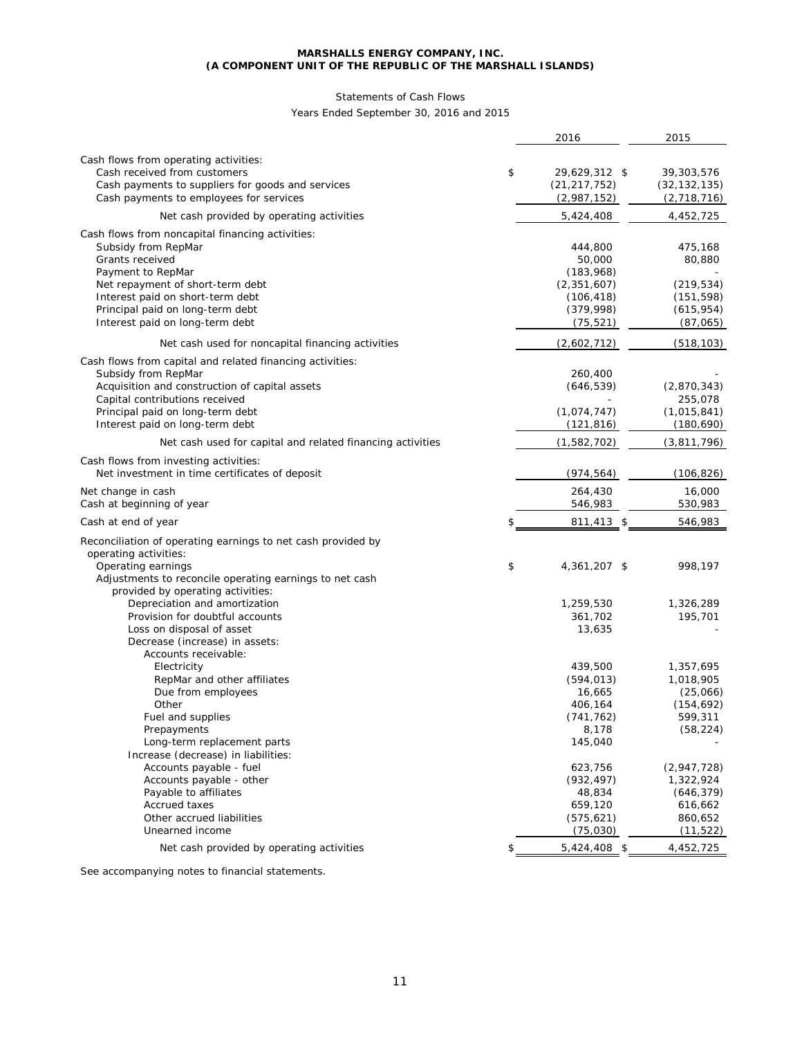# Statements of Cash Flows

Years Ended September 30, 2016 and 2015

|                                                              | 2016                  | 2015                  |
|--------------------------------------------------------------|-----------------------|-----------------------|
|                                                              |                       |                       |
| Cash flows from operating activities:                        |                       |                       |
| Cash received from customers                                 | \$<br>29,629,312 \$   | 39,303,576            |
| Cash payments to suppliers for goods and services            | (21, 217, 752)        | (32, 132, 135)        |
| Cash payments to employees for services                      | (2,987,152)           | (2,718,716)           |
| Net cash provided by operating activities                    | 5,424,408             | 4,452,725             |
| Cash flows from noncapital financing activities:             |                       |                       |
| Subsidy from RepMar                                          | 444,800               | 475,168               |
| Grants received                                              | 50,000                | 80,880                |
| Payment to RepMar                                            | (183,968)             |                       |
| Net repayment of short-term debt                             | (2, 351, 607)         | (219, 534)            |
| Interest paid on short-term debt                             | (106, 418)            | (151, 598)            |
| Principal paid on long-term debt                             | (379,998)             | (615, 954)            |
| Interest paid on long-term debt                              | (75, 521)             | (87,065)              |
| Net cash used for noncapital financing activities            | (2,602,712)           | (518, 103)            |
| Cash flows from capital and related financing activities:    |                       |                       |
| Subsidy from RepMar                                          | 260,400               |                       |
| Acquisition and construction of capital assets               | (646, 539)            | (2,870,343)           |
| Capital contributions received                               |                       | 255,078               |
| Principal paid on long-term debt                             | (1,074,747)           | (1,015,841)           |
| Interest paid on long-term debt                              | (121, 816)            | (180, 690)            |
| Net cash used for capital and related financing activities   | (1,582,702)           | (3,811,796)           |
| Cash flows from investing activities:                        |                       |                       |
| Net investment in time certificates of deposit               | (974, 564)            | (106, 826)            |
| Net change in cash                                           | 264,430               | 16,000                |
| Cash at beginning of year                                    | 546,983               | 530,983               |
| Cash at end of year                                          | \$<br>811,413 \$      | 546,983               |
| Reconciliation of operating earnings to net cash provided by |                       |                       |
| operating activities:                                        |                       |                       |
| Operating earnings                                           | \$<br>4,361,207 \$    | 998,197               |
| Adjustments to reconcile operating earnings to net cash      |                       |                       |
| provided by operating activities:                            |                       |                       |
| Depreciation and amortization                                | 1,259,530             | 1,326,289             |
| Provision for doubtful accounts                              | 361,702               | 195,701               |
| Loss on disposal of asset                                    | 13,635                |                       |
| Decrease (increase) in assets:                               |                       |                       |
| Accounts receivable:                                         |                       |                       |
| Electricity                                                  | 439,500               | 1,357,695             |
| RepMar and other affiliates                                  | (594, 013)            | 1,018,905             |
| Due from employees                                           | 16,665                | (25,066)              |
| Other                                                        | 406,164<br>(741, 762) | (154, 692)<br>599,311 |
| Fuel and supplies<br>Prepayments                             |                       |                       |
| Long-term replacement parts                                  | 8,178<br>145,040      | (58, 224)             |
| Increase (decrease) in liabilities:                          |                       |                       |
| Accounts payable - fuel                                      | 623,756               | (2,947,728)           |
| Accounts payable - other                                     | (932, 497)            | 1,322,924             |
| Payable to affiliates                                        | 48,834                | (646, 379)            |
| <b>Accrued taxes</b>                                         | 659,120               | 616,662               |
| Other accrued liabilities                                    | (575, 621)            | 860,652               |
| Unearned income                                              | (75, 030)             | (11, 522)             |
| Net cash provided by operating activities                    | \$<br>$5,424,408$ \$  | 4,452,725             |
|                                                              |                       |                       |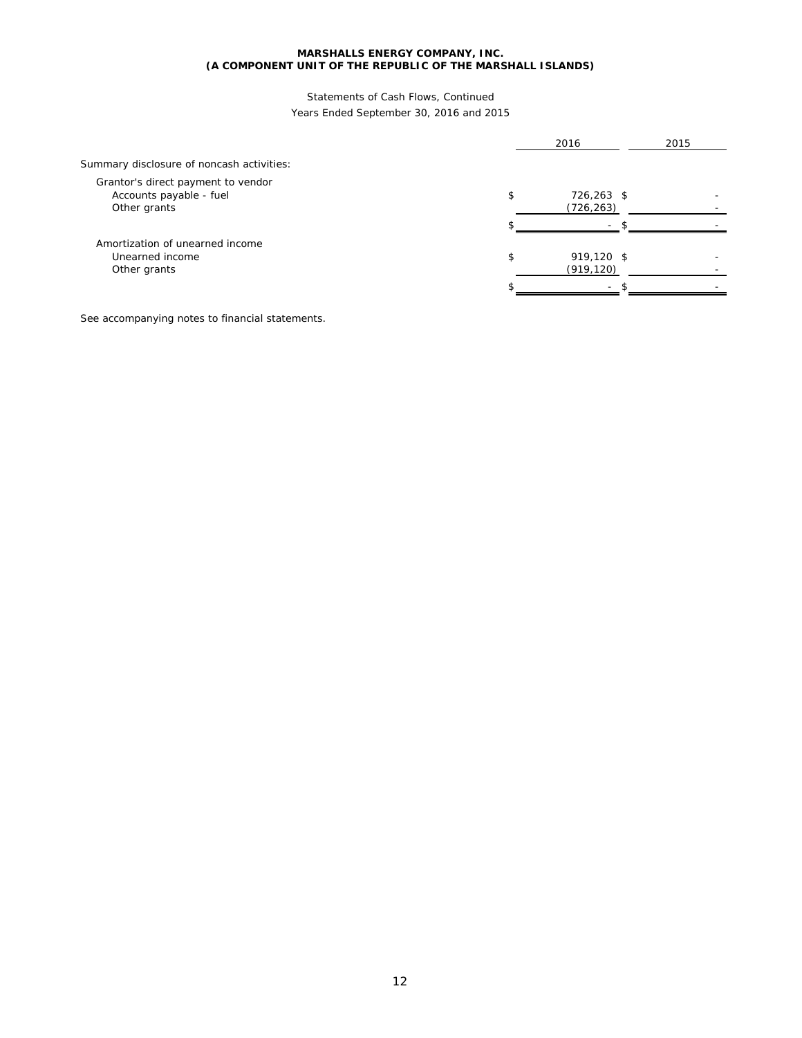# Statements of Cash Flows, Continued Years Ended September 30, 2016 and 2015

|                                                                               | 2016                           | 2015 |
|-------------------------------------------------------------------------------|--------------------------------|------|
| Summary disclosure of noncash activities:                                     |                                |      |
| Grantor's direct payment to vendor<br>Accounts payable - fuel<br>Other grants | \$<br>726,263 \$<br>(726, 263) |      |
|                                                                               | ፍ<br>۰.                        |      |
| Amortization of unearned income<br>Unearned income<br>Other grants            | \$<br>919,120 \$<br>(919, 120) |      |
|                                                                               |                                |      |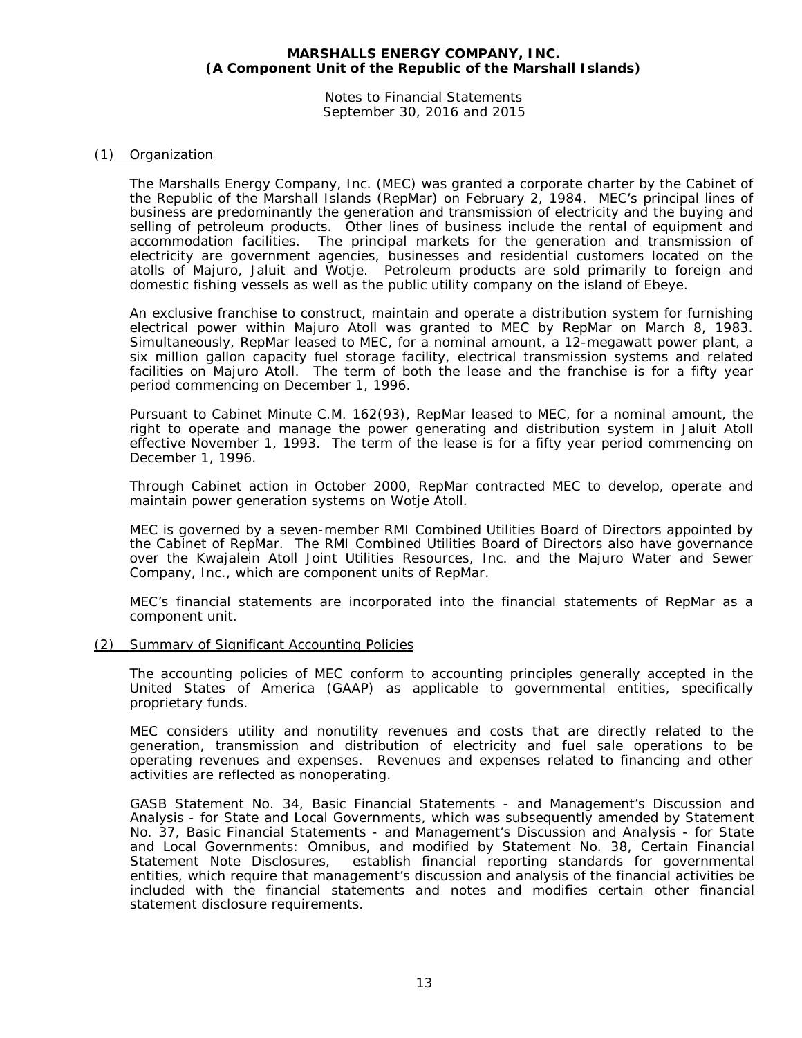Notes to Financial Statements September 30, 2016 and 2015

# (1) Organization

The Marshalls Energy Company, Inc. (MEC) was granted a corporate charter by the Cabinet of the Republic of the Marshall Islands (RepMar) on February 2, 1984. MEC's principal lines of business are predominantly the generation and transmission of electricity and the buying and selling of petroleum products. Other lines of business include the rental of equipment and accommodation facilities. The principal markets for the generation and transmission of electricity are government agencies, businesses and residential customers located on the atolls of Majuro, Jaluit and Wotje. Petroleum products are sold primarily to foreign and domestic fishing vessels as well as the public utility company on the island of Ebeye.

An exclusive franchise to construct, maintain and operate a distribution system for furnishing electrical power within Majuro Atoll was granted to MEC by RepMar on March 8, 1983. Simultaneously, RepMar leased to MEC, for a nominal amount, a 12-megawatt power plant, a six million gallon capacity fuel storage facility, electrical transmission systems and related facilities on Majuro Atoll. The term of both the lease and the franchise is for a fifty year period commencing on December 1, 1996.

Pursuant to Cabinet Minute C.M. 162(93), RepMar leased to MEC, for a nominal amount, the right to operate and manage the power generating and distribution system in Jaluit Atoll effective November 1, 1993. The term of the lease is for a fifty year period commencing on December 1, 1996.

Through Cabinet action in October 2000, RepMar contracted MEC to develop, operate and maintain power generation systems on Wotje Atoll.

MEC is governed by a seven-member RMI Combined Utilities Board of Directors appointed by the Cabinet of RepMar. The RMI Combined Utilities Board of Directors also have governance over the Kwajalein Atoll Joint Utilities Resources, Inc. and the Majuro Water and Sewer Company, Inc., which are component units of RepMar.

MEC's financial statements are incorporated into the financial statements of RepMar as a component unit.

# (2) Summary of Significant Accounting Policies

The accounting policies of MEC conform to accounting principles generally accepted in the United States of America (GAAP) as applicable to governmental entities, specifically proprietary funds.

MEC considers utility and nonutility revenues and costs that are directly related to the generation, transmission and distribution of electricity and fuel sale operations to be operating revenues and expenses. Revenues and expenses related to financing and other activities are reflected as nonoperating.

GASB Statement No. 34, *Basic Financial Statements - and Management's Discussion and Analysis - for State and Local Governments*, which was subsequently amended by Statement No. 37, *Basic Financial Statements - and Management's Discussion and Analysis - for State and Local Governments: Omnibus,* and modified by Statement No. 38, *Certain Financial Statement Note Disclosures*, establish financial reporting standards for governmental entities, which require that management's discussion and analysis of the financial activities be included with the financial statements and notes and modifies certain other financial statement disclosure requirements.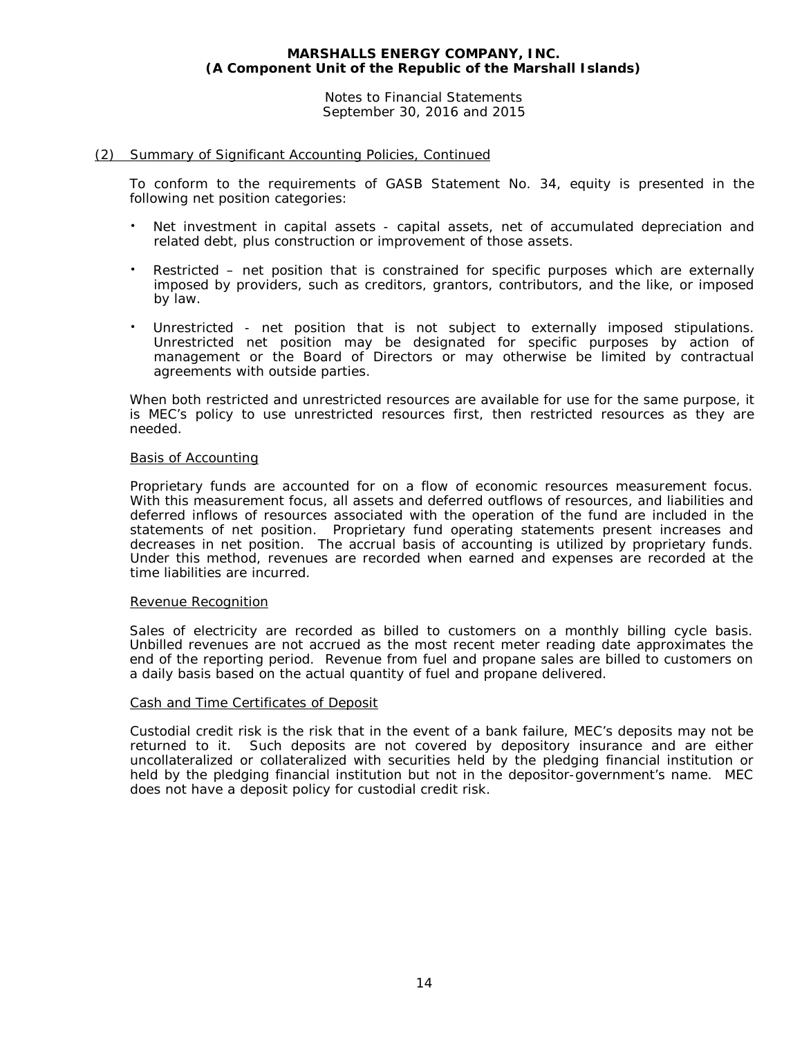Notes to Financial Statements September 30, 2016 and 2015

# (2) Summary of Significant Accounting Policies, Continued

To conform to the requirements of GASB Statement No. 34, equity is presented in the following net position categories:

- Net investment in capital assets capital assets, net of accumulated depreciation and related debt, plus construction or improvement of those assets.
- Restricted net position that is constrained for specific purposes which are externally imposed by providers, such as creditors, grantors, contributors, and the like, or imposed by law.
- Unrestricted net position that is not subject to externally imposed stipulations. Unrestricted net position may be designated for specific purposes by action of management or the Board of Directors or may otherwise be limited by contractual agreements with outside parties.

When both restricted and unrestricted resources are available for use for the same purpose, it is MEC's policy to use unrestricted resources first, then restricted resources as they are needed.

# Basis of Accounting

Proprietary funds are accounted for on a flow of economic resources measurement focus. With this measurement focus, all assets and deferred outflows of resources, and liabilities and deferred inflows of resources associated with the operation of the fund are included in the statements of net position. Proprietary fund operating statements present increases and decreases in net position. The accrual basis of accounting is utilized by proprietary funds. Under this method, revenues are recorded when earned and expenses are recorded at the time liabilities are incurred.

# Revenue Recognition

Sales of electricity are recorded as billed to customers on a monthly billing cycle basis. Unbilled revenues are not accrued as the most recent meter reading date approximates the end of the reporting period. Revenue from fuel and propane sales are billed to customers on a daily basis based on the actual quantity of fuel and propane delivered.

# Cash and Time Certificates of Deposit

Custodial credit risk is the risk that in the event of a bank failure, MEC's deposits may not be returned to it. Such deposits are not covered by depository insurance and are either uncollateralized or collateralized with securities held by the pledging financial institution or held by the pledging financial institution but not in the depositor-government's name. MEC does not have a deposit policy for custodial credit risk.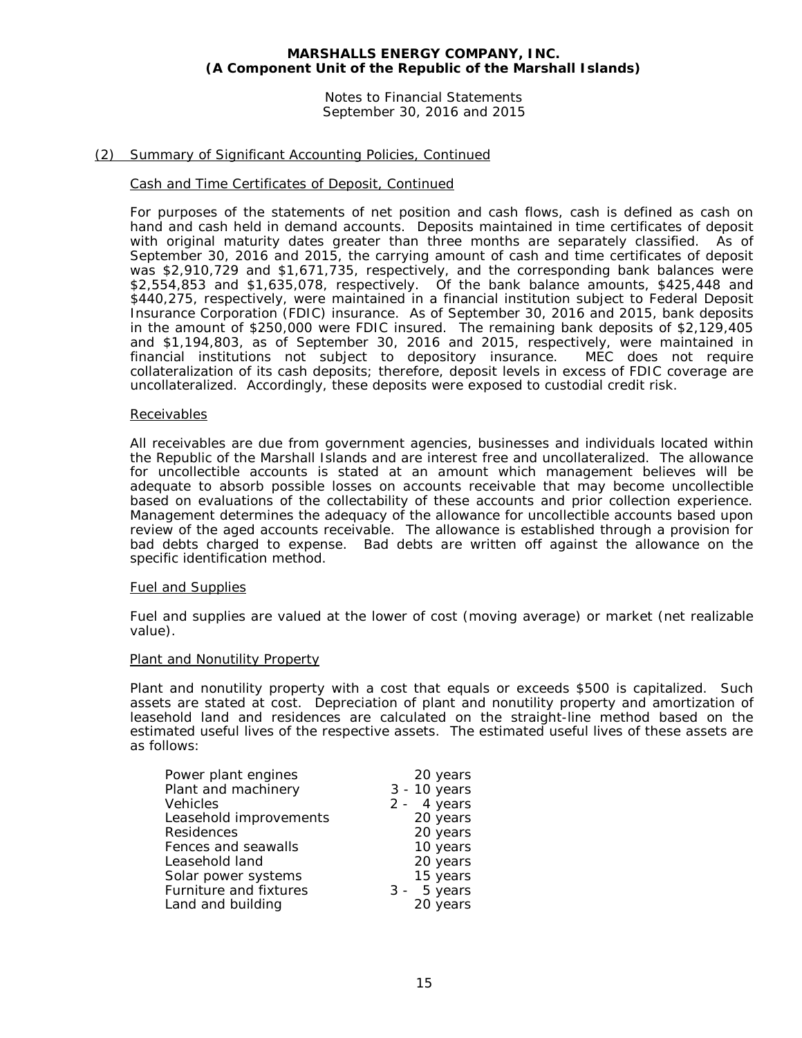Notes to Financial Statements September 30, 2016 and 2015

# (2) Summary of Significant Accounting Policies, Continued

#### Cash and Time Certificates of Deposit, Continued

For purposes of the statements of net position and cash flows, cash is defined as cash on hand and cash held in demand accounts. Deposits maintained in time certificates of deposit with original maturity dates greater than three months are separately classified. As of September 30, 2016 and 2015, the carrying amount of cash and time certificates of deposit was \$2,910,729 and \$1,671,735, respectively, and the corresponding bank balances were \$2,554,853 and \$1,635,078, respectively. Of the bank balance amounts, \$425,448 and \$440,275, respectively, were maintained in a financial institution subject to Federal Deposit Insurance Corporation (FDIC) insurance. As of September 30, 2016 and 2015, bank deposits in the amount of \$250,000 were FDIC insured. The remaining bank deposits of \$2,129,405 and \$1,194,803, as of September 30, 2016 and 2015, respectively, were maintained in financial institutions not subject to depository insurance. MEC does not require collateralization of its cash deposits; therefore, deposit levels in excess of FDIC coverage are uncollateralized. Accordingly, these deposits were exposed to custodial credit risk.

#### Receivables

All receivables are due from government agencies, businesses and individuals located within the Republic of the Marshall Islands and are interest free and uncollateralized. The allowance for uncollectible accounts is stated at an amount which management believes will be adequate to absorb possible losses on accounts receivable that may become uncollectible based on evaluations of the collectability of these accounts and prior collection experience. Management determines the adequacy of the allowance for uncollectible accounts based upon review of the aged accounts receivable. The allowance is established through a provision for bad debts charged to expense. Bad debts are written off against the allowance on the specific identification method.

# Fuel and Supplies

Fuel and supplies are valued at the lower of cost (moving average) or market (net realizable value).

#### Plant and Nonutility Property

Plant and nonutility property with a cost that equals or exceeds \$500 is capitalized. Such assets are stated at cost. Depreciation of plant and nonutility property and amortization of leasehold land and residences are calculated on the straight-line method based on the estimated useful lives of the respective assets. The estimated useful lives of these assets are as follows:

| Power plant engines    | 20 years      |
|------------------------|---------------|
| Plant and machinery    | 3 - 10 years  |
| Vehicles               | $2 - 4$ years |
| Leasehold improvements | 20 years      |
| Residences             | 20 years      |
| Fences and seawalls    | 10 years      |
| Leasehold land         | 20 years      |
| Solar power systems    | 15 years      |
| Furniture and fixtures | $3 - 5$ years |
| Land and building      | 20 years      |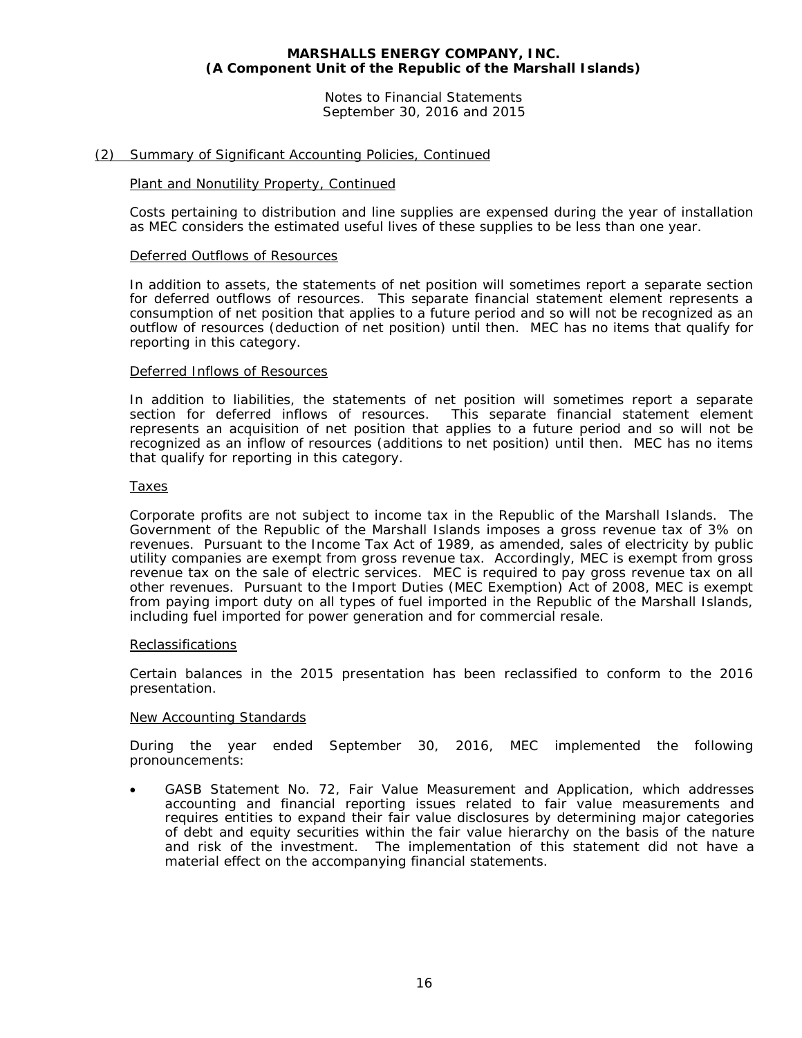Notes to Financial Statements September 30, 2016 and 2015

# (2) Summary of Significant Accounting Policies, Continued

# Plant and Nonutility Property, Continued

Costs pertaining to distribution and line supplies are expensed during the year of installation as MEC considers the estimated useful lives of these supplies to be less than one year.

#### Deferred Outflows of Resources

In addition to assets, the statements of net position will sometimes report a separate section for deferred outflows of resources. This separate financial statement element represents a consumption of net position that applies to a future period and so will not be recognized as an outflow of resources (deduction of net position) until then. MEC has no items that qualify for reporting in this category.

#### Deferred Inflows of Resources

In addition to liabilities, the statements of net position will sometimes report a separate section for deferred inflows of resources. This separate financial statement element represents an acquisition of net position that applies to a future period and so will not be recognized as an inflow of resources (additions to net position) until then. MEC has no items that qualify for reporting in this category.

# **Taxes**

Corporate profits are not subject to income tax in the Republic of the Marshall Islands. The Government of the Republic of the Marshall Islands imposes a gross revenue tax of 3% on revenues. Pursuant to the Income Tax Act of 1989, as amended, sales of electricity by public utility companies are exempt from gross revenue tax. Accordingly, MEC is exempt from gross revenue tax on the sale of electric services. MEC is required to pay gross revenue tax on all other revenues. Pursuant to the Import Duties (MEC Exemption) Act of 2008, MEC is exempt from paying import duty on all types of fuel imported in the Republic of the Marshall Islands, including fuel imported for power generation and for commercial resale.

#### **Reclassifications**

Certain balances in the 2015 presentation has been reclassified to conform to the 2016 presentation.

# New Accounting Standards

During the year ended September 30, 2016, MEC implemented the following pronouncements:

• GASB Statement No. 72, *Fair Value Measurement and Application*, which addresses accounting and financial reporting issues related to fair value measurements and requires entities to expand their fair value disclosures by determining major categories of debt and equity securities within the fair value hierarchy on the basis of the nature and risk of the investment. The implementation of this statement did not have a material effect on the accompanying financial statements.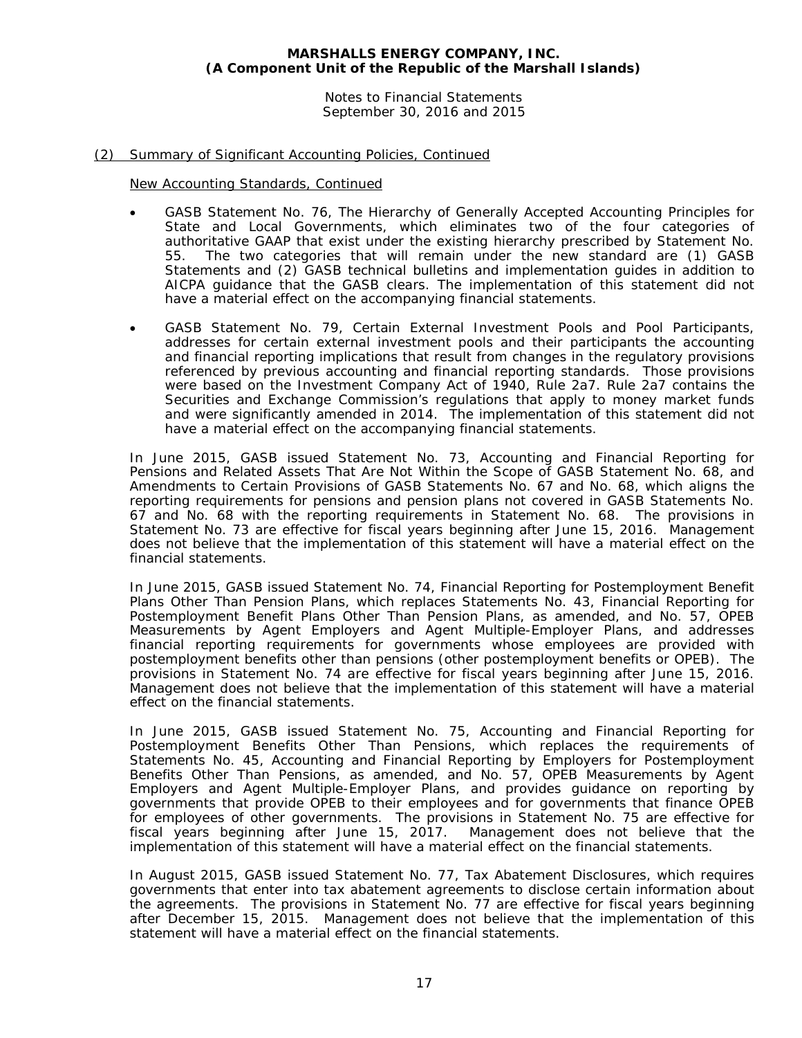Notes to Financial Statements September 30, 2016 and 2015

# (2) Summary of Significant Accounting Policies, Continued

New Accounting Standards, Continued

- GASB Statement No. 76, *The Hierarchy of Generally Accepted Accounting Principles for State and Local Governments*, which eliminates two of the four categories of authoritative GAAP that exist under the existing hierarchy prescribed by Statement No. 55. The two categories that will remain under the new standard are (1) GASB Statements and (2) GASB technical bulletins and implementation guides in addition to AICPA guidance that the GASB clears. The implementation of this statement did not have a material effect on the accompanying financial statements.
- GASB Statement No. 79, *Certain External Investment Pools and Pool Participants*, addresses for certain external investment pools and their participants the accounting and financial reporting implications that result from changes in the regulatory provisions referenced by previous accounting and financial reporting standards. Those provisions were based on the Investment Company Act of 1940, Rule 2a7. Rule 2a7 contains the Securities and Exchange Commission's regulations that apply to money market funds and were significantly amended in 2014. The implementation of this statement did not have a material effect on the accompanying financial statements.

In June 2015, GASB issued Statement No. 73, *Accounting and Financial Reporting for Pensions and Related Assets That Are Not Within the Scope of GASB Statement No. 68, and Amendments to Certain Provisions of GASB Statements No. 67 and No. 68*, which aligns the reporting requirements for pensions and pension plans not covered in GASB Statements No. 67 and No. 68 with the reporting requirements in Statement No. 68. The provisions in Statement No. 73 are effective for fiscal years beginning after June 15, 2016. Management does not believe that the implementation of this statement will have a material effect on the financial statements.

In June 2015, GASB issued Statement No. 74, *Financial Reporting for Postemployment Benefit Plans Other Than Pension Plans*, which replaces Statements No. 43, *Financial Reporting for Postemployment Benefit Plans Other Than Pension Plans, as amended*, and No. 57, *OPEB Measurements by Agent Employers and Agent Multiple-Employer Plans*, and addresses financial reporting requirements for governments whose employees are provided with postemployment benefits other than pensions (other postemployment benefits or OPEB). The provisions in Statement No. 74 are effective for fiscal years beginning after June 15, 2016. Management does not believe that the implementation of this statement will have a material effect on the financial statements.

In June 2015, GASB issued Statement No. 75, *Accounting and Financial Reporting for Postemployment Benefits Other Than Pensions*, which replaces the requirements of Statements No. 45, *Accounting and Financial Reporting by Employers for Postemployment Benefits Other Than Pensions, as amended*, and No. 57, *OPEB Measurements by Agent Employers and Agent Multiple-Employer Plans*, and provides guidance on reporting by governments that provide OPEB to their employees and for governments that finance OPEB for employees of other governments. The provisions in Statement No. 75 are effective for fiscal years beginning after June 15, 2017. Management does not believe that the implementation of this statement will have a material effect on the financial statements.

In August 2015, GASB issued Statement No. 77, *Tax Abatement Disclosures*, which requires governments that enter into tax abatement agreements to disclose certain information about the agreements. The provisions in Statement No. 77 are effective for fiscal years beginning after December 15, 2015. Management does not believe that the implementation of this statement will have a material effect on the financial statements.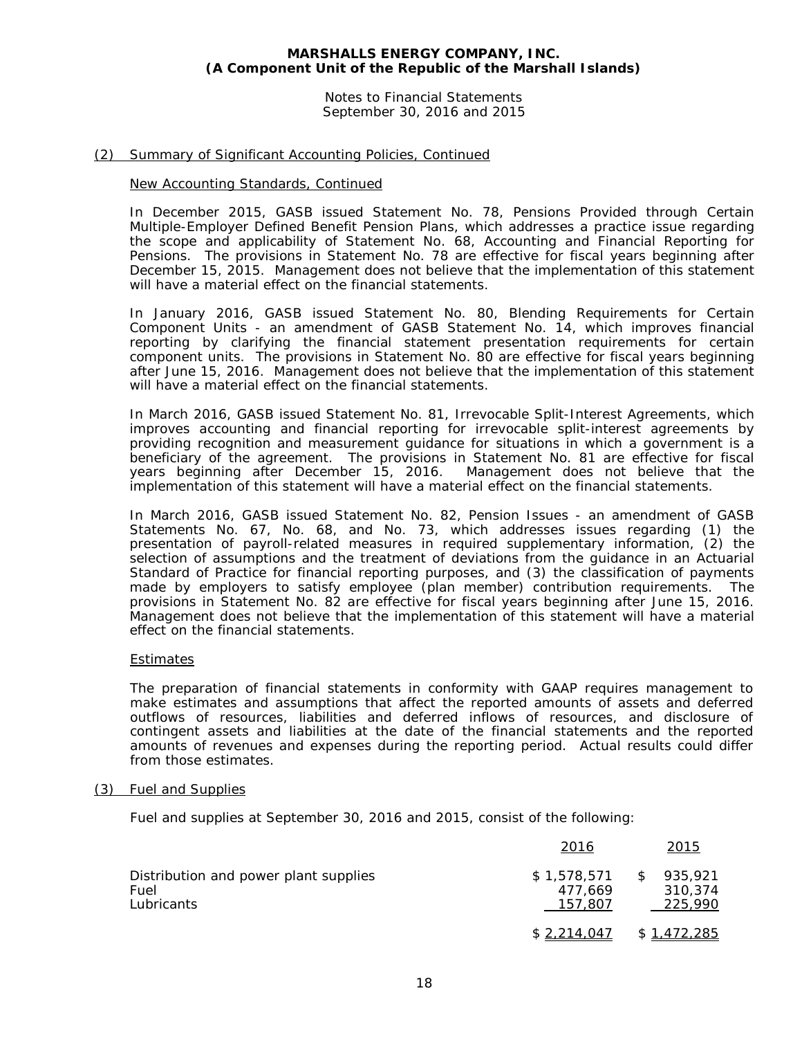Notes to Financial Statements September 30, 2016 and 2015

# (2) Summary of Significant Accounting Policies, Continued

#### New Accounting Standards, Continued

In December 2015, GASB issued Statement No. 78, *Pensions Provided through Certain Multiple-Employer Defined Benefit Pension Plans*, which addresses a practice issue regarding the scope and applicability of Statement No. 68, *Accounting and Financial Reporting for Pensions*. The provisions in Statement No. 78 are effective for fiscal years beginning after December 15, 2015. Management does not believe that the implementation of this statement will have a material effect on the financial statements.

In January 2016, GASB issued Statement No. 80, *Blending Requirements for Certain Component Units - an amendment of GASB Statement No. 14*, which improves financial reporting by clarifying the financial statement presentation requirements for certain component units. The provisions in Statement No. 80 are effective for fiscal years beginning after June 15, 2016. Management does not believe that the implementation of this statement will have a material effect on the financial statements.

In March 2016, GASB issued Statement No. 81, *Irrevocable Split-Interest Agreements*, which improves accounting and financial reporting for irrevocable split-interest agreements by providing recognition and measurement guidance for situations in which a government is a beneficiary of the agreement. The provisions in Statement No. 81 are effective for fiscal years beginning after December 15, 2016. Management does not believe that the implementation of this statement will have a material effect on the financial statements.

In March 2016, GASB issued Statement No. 82, *Pension Issues - an amendment of GASB Statements No. 67, No. 68, and No. 73*, which addresses issues regarding (1) the presentation of payroll-related measures in required supplementary information, (2) the selection of assumptions and the treatment of deviations from the guidance in an Actuarial Standard of Practice for financial reporting purposes, and (3) the classification of payments made by employers to satisfy employee (plan member) contribution requirements. The provisions in Statement No. 82 are effective for fiscal years beginning after June 15, 2016. Management does not believe that the implementation of this statement will have a material effect on the financial statements.

#### **Estimates**

The preparation of financial statements in conformity with GAAP requires management to make estimates and assumptions that affect the reported amounts of assets and deferred outflows of resources, liabilities and deferred inflows of resources, and disclosure of contingent assets and liabilities at the date of the financial statements and the reported amounts of revenues and expenses during the reporting period. Actual results could differ from those estimates.

#### (3) Fuel and Supplies

Fuel and supplies at September 30, 2016 and 2015, consist of the following:

|                                                             | 2016                              |      | 2015                          |
|-------------------------------------------------------------|-----------------------------------|------|-------------------------------|
| Distribution and power plant supplies<br>Fuel<br>Lubricants | \$1,578,571<br>477.669<br>157,807 | - \$ | 935,921<br>310.374<br>225,990 |
|                                                             | \$2,214,047                       |      | \$1,472,285                   |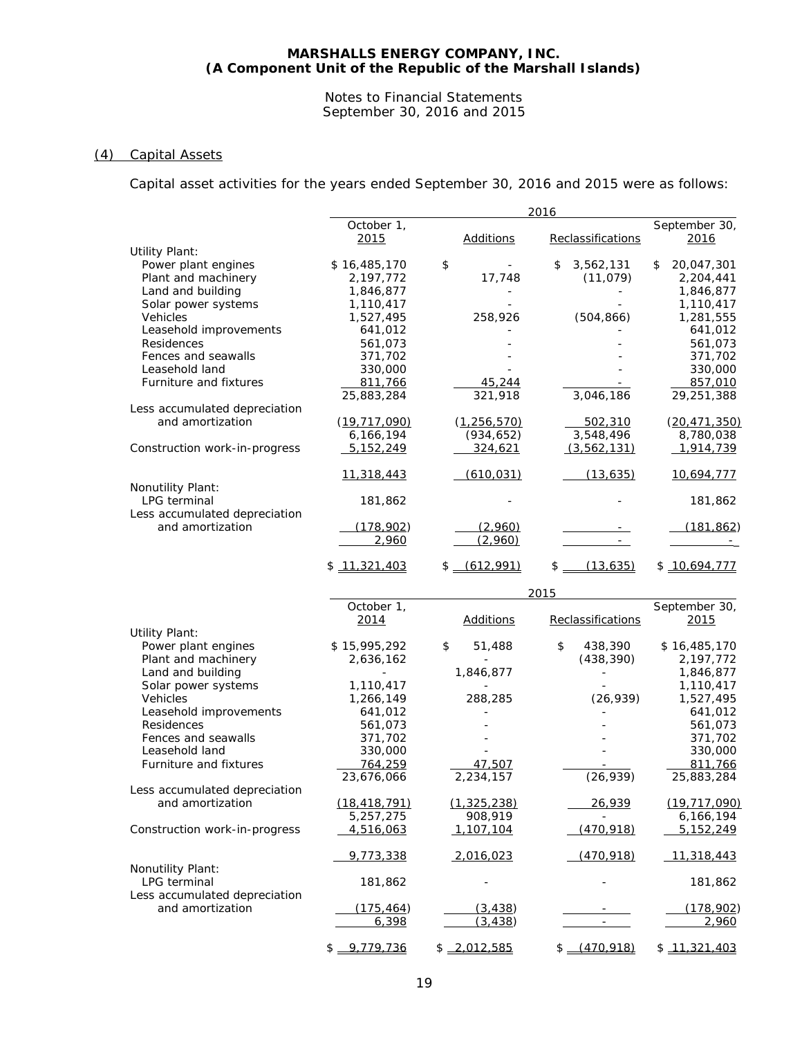#### Notes to Financial Statements September 30, 2016 and 2015

# (4) Capital Assets

Capital asset activities for the years ended September 30, 2016 and 2015 were as follows:

|                                   |                    |                  | 2016              |                       |
|-----------------------------------|--------------------|------------------|-------------------|-----------------------|
|                                   | October 1,<br>2015 | <b>Additions</b> | Reclassifications | September 30,<br>2016 |
| <b>Utility Plant:</b>             |                    |                  |                   |                       |
| Power plant engines               | \$16,485,170       | \$               | 3,562,131<br>\$   | 20,047,301<br>\$      |
| Plant and machinery               | 2,197,772          | 17,748           | (11, 079)         | 2,204,441             |
| Land and building                 | 1,846,877          |                  |                   | 1,846,877             |
| Solar power systems               | 1,110,417          |                  |                   | 1,110,417             |
| Vehicles                          | 1,527,495          | 258,926          | (504, 866)        | 1,281,555             |
| Leasehold improvements            | 641,012            |                  |                   | 641,012               |
| Residences                        | 561,073            |                  |                   | 561,073               |
| Fences and seawalls               | 371,702            |                  |                   | 371,702               |
| Leasehold land                    | 330,000            |                  |                   | 330,000               |
| Furniture and fixtures            | 811,766            | 45,244           |                   | 857,010               |
|                                   | 25,883,284         | 321,918          | 3,046,186         | 29,251,388            |
| Less accumulated depreciation     |                    |                  |                   |                       |
| and amortization                  | (19, 717, 090)     | (1, 256, 570)    | 502,310           | (20.471, 350)         |
|                                   | 6,166,194          | (934, 652)       | 3,548,496         | 8,780,038             |
| Construction work-in-progress     | 5,152,249          | 324,621          | (3, 562, 131)     | 1,914,739             |
|                                   | 11,318,443         | (610, 031)       | (13, 635)         | 10,694,777            |
| Nonutility Plant:<br>LPG terminal | 181,862            |                  |                   | 181,862               |
| Less accumulated depreciation     |                    |                  |                   |                       |
| and amortization                  | (178, 902)         | (2,960)          |                   | (181, 862)            |
|                                   | 2,960              | (2,960)          | $\equiv$          |                       |
|                                   | \$11,321,403       | $$-(612,991)$    | \$<br>(13, 635)   | \$10,694,777          |
|                                   |                    |                  |                   |                       |
|                                   |                    |                  | 2015              |                       |
|                                   | October 1,         |                  |                   | September 30,         |
|                                   | 2014               | <b>Additions</b> | Reclassifications | 2015                  |
| <b>Utility Plant:</b>             |                    |                  |                   |                       |
| Power plant engines               | \$15,995,292       | 51,488<br>\$     | \$<br>438,390     | \$16,485,170          |
| Plant and machinery               | 2,636,162          |                  | (438, 390)        | 2,197,772             |
| Land and building                 |                    | 1,846,877        |                   | 1,846,877             |
| Solar power systems               | 1,110,417          |                  |                   | 1,110,417             |
| Vehicles                          | 1,266,149          | 288,285          | (26, 939)         | 1,527,495             |
| Leasehold improvements            | 641,012            |                  |                   | 641,012               |
| Residences                        | 561,073            |                  |                   | 561,073               |
| Fences and seawalls               | 371,702            |                  |                   | 371,702               |
| Leasehold land                    | 330,000            |                  |                   | 330,000               |
| Furniture and fixtures            | 764,259            | 47.507           |                   | 811,766               |
|                                   | 23,676,066         | 2,234,157        |                   |                       |
| Less accumulated depreciation     |                    |                  | (26, 939)         | 25,883,284            |
|                                   |                    |                  |                   |                       |
| and amortization                  | (18, 418, 791)     | (1, 325, 238)    | 26,939            | (19, 717, 090)        |
|                                   | 5,257,275          | 908,919          |                   | 6,166,194             |
| Construction work-in-progress     | 4,516,063          | 1,107,104        | (470, 918)        | 5,152,249             |
|                                   | 9,773,338          | 2,016,023        | (470, 918)        | 11,318,443            |
| Nonutility Plant:                 |                    |                  |                   |                       |
| LPG terminal                      | 181,862            |                  |                   | 181,862               |
| Less accumulated depreciation     |                    |                  |                   |                       |
| and amortization                  | (175, 464)         | (3, 438)         |                   | (178, 902)            |
|                                   | 6,398              | (3, 438)         |                   | 2,960                 |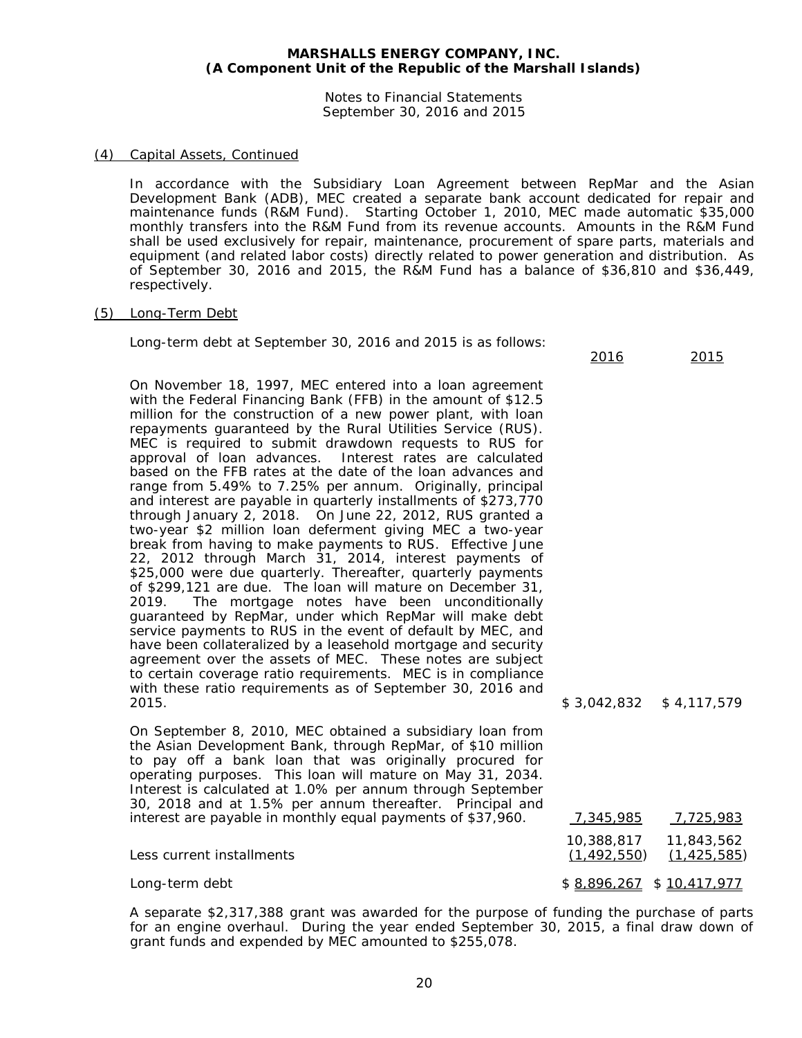Notes to Financial Statements September 30, 2016 and 2015

# (4) Capital Assets, Continued

In accordance with the Subsidiary Loan Agreement between RepMar and the Asian Development Bank (ADB), MEC created a separate bank account dedicated for repair and maintenance funds (R&M Fund). Starting October 1, 2010, MEC made automatic \$35,000 monthly transfers into the R&M Fund from its revenue accounts. Amounts in the R&M Fund shall be used exclusively for repair, maintenance, procurement of spare parts, materials and equipment (and related labor costs) directly related to power generation and distribution. As of September 30, 2016 and 2015, the R&M Fund has a balance of \$36,810 and \$36,449, respectively.

2016 2015

#### (5) Long-Term Debt

Long-term debt at September 30, 2016 and 2015 is as follows:

On November 18, 1997, MEC entered into a loan agreement with the Federal Financing Bank (FFB) in the amount of \$12.5 million for the construction of a new power plant, with loan repayments guaranteed by the Rural Utilities Service (RUS). MEC is required to submit drawdown requests to RUS for approval of loan advances. Interest rates are calculated based on the FFB rates at the date of the loan advances and range from 5.49% to 7.25% per annum. Originally, principal and interest are payable in quarterly installments of \$273,770 through January 2, 2018. On June 22, 2012, RUS granted a two-year \$2 million loan deferment giving MEC a two-year break from having to make payments to RUS. Effective June 22, 2012 through March 31, 2014, interest payments of \$25,000 were due quarterly. Thereafter, quarterly payments of \$299,121 are due. The loan will mature on December 31, 2019. The mortgage notes have been unconditionally guaranteed by RepMar, under which RepMar will make debt service payments to RUS in the event of default by MEC, and have been collateralized by a leasehold mortgage and security agreement over the assets of MEC. These notes are subject to certain coverage ratio requirements. MEC is in compliance with these ratio requirements as of September 30, 2016 and 2015. \$ 3,042,832 \$ 4,117,579

On September 8, 2010, MEC obtained a subsidiary loan from the Asian Development Bank, through RepMar, of \$10 million to pay off a bank loan that was originally procured for operating purposes. This loan will mature on May 31, 2034. Interest is calculated at 1.0% per annum through September 30, 2018 and at 1.5% per annum thereafter. Principal and

| Operating purposes. This idan will mature on May 31, 2034.  |               |                            |
|-------------------------------------------------------------|---------------|----------------------------|
| Interest is calculated at 1.0% per annum through September  |               |                            |
| 30, 2018 and at 1.5% per annum thereafter. Principal and    |               |                            |
| interest are payable in monthly equal payments of \$37,960. | 7,345,985     | 7,725,983                  |
|                                                             |               |                            |
| Less current installments                                   | (1, 492, 550) | (1, 425, 585)              |
| Long-term debt                                              |               | $$8,896,267$ $$10,417,977$ |
|                                                             |               |                            |

A separate \$2,317,388 grant was awarded for the purpose of funding the purchase of parts for an engine overhaul. During the year ended September 30, 2015, a final draw down of grant funds and expended by MEC amounted to \$255,078.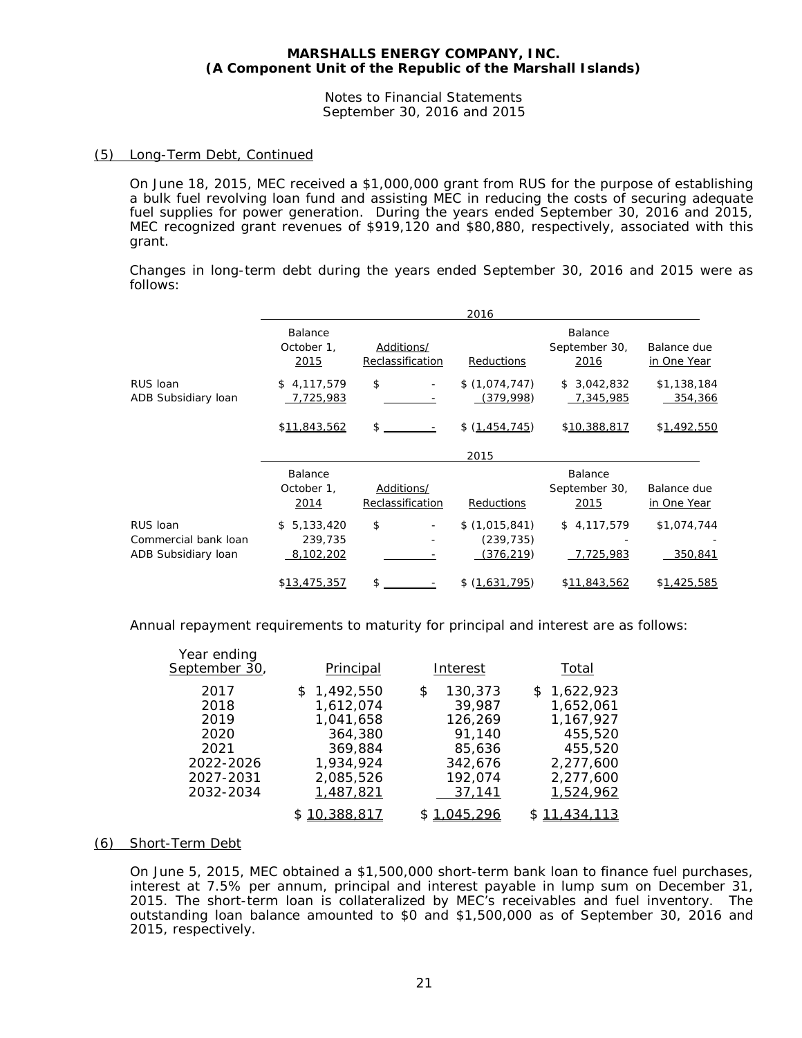Notes to Financial Statements September 30, 2016 and 2015

# (5) Long-Term Debt, Continued

On June 18, 2015, MEC received a \$1,000,000 grant from RUS for the purpose of establishing a bulk fuel revolving loan fund and assisting MEC in reducing the costs of securing adequate fuel supplies for power generation. During the years ended September 30, 2016 and 2015, MEC recognized grant revenues of \$919,120 and \$80,880, respectively, associated with this grant.

Changes in long-term debt during the years ended September 30, 2016 and 2015 were as follows:

|                                                         | 2016                                    |                                |                                           |                                  |                            |  |  |  |  |
|---------------------------------------------------------|-----------------------------------------|--------------------------------|-------------------------------------------|----------------------------------|----------------------------|--|--|--|--|
|                                                         | Balance<br>October 1,<br>2015           | Additions/<br>Reclassification | Reductions                                | Balance<br>September 30,<br>2016 | Balance due<br>in One Year |  |  |  |  |
| RUS Ioan<br>ADB Subsidiary loan                         | \$4,117,579<br>7,725,983                | \$<br>$\overline{\phantom{a}}$ | \$(1,074,747)<br>(379,998)                | \$3,042,832<br>7,345,985         | \$1,138,184<br>354,366     |  |  |  |  |
|                                                         | \$11,843,562                            | \$                             | \$ (1,454,745)                            | \$10,388,817                     | \$1,492,550                |  |  |  |  |
|                                                         |                                         |                                | 2015                                      |                                  |                            |  |  |  |  |
|                                                         | Balance<br>October 1,<br>2014           | Additions/<br>Reclassification | Reductions                                | Balance<br>September 30,<br>2015 | Balance due<br>in One Year |  |  |  |  |
| RUS Ioan<br>Commercial bank loan<br>ADB Subsidiary loan | 5,133,420<br>\$<br>239,735<br>8,102,202 | \$<br>$\overline{\phantom{a}}$ | \$(1,015,841)<br>(239, 735)<br>(376, 219) | \$4,117,579<br>7,725,983         | \$1,074,744<br>350,841     |  |  |  |  |
|                                                         | \$13,475,357                            | \$                             | (1.631.795)<br>\$                         | \$11,843,562                     | \$1.425.585                |  |  |  |  |

Annual repayment requirements to maturity for principal and interest are as follows:

| Year ending<br>September 30,                                                | Principal                                                                                          | <b>Interest</b>                                                                        | Total                                                                                              |  |  |
|-----------------------------------------------------------------------------|----------------------------------------------------------------------------------------------------|----------------------------------------------------------------------------------------|----------------------------------------------------------------------------------------------------|--|--|
| 2017<br>2018<br>2019<br>2020<br>2021<br>2022-2026<br>2027-2031<br>2032-2034 | \$1,492,550<br>1,612,074<br>1.041.658<br>364,380<br>369,884<br>1,934,924<br>2,085,526<br>1,487,821 | 130,373<br>\$<br>39,987<br>126,269<br>91.140<br>85,636<br>342,676<br>192,074<br>37,141 | \$1,622,923<br>1,652,061<br>1,167,927<br>455,520<br>455,520<br>2,277,600<br>2,277,600<br>1,524,962 |  |  |
|                                                                             | \$10,388,817                                                                                       | 1,045,296                                                                              | \$11,434,113                                                                                       |  |  |

# (6) Short-Term Debt

On June 5, 2015, MEC obtained a \$1,500,000 short-term bank loan to finance fuel purchases, interest at 7.5% per annum, principal and interest payable in lump sum on December 31, 2015. The short-term loan is collateralized by MEC's receivables and fuel inventory. The outstanding loan balance amounted to \$0 and \$1,500,000 as of September 30, 2016 and 2015, respectively.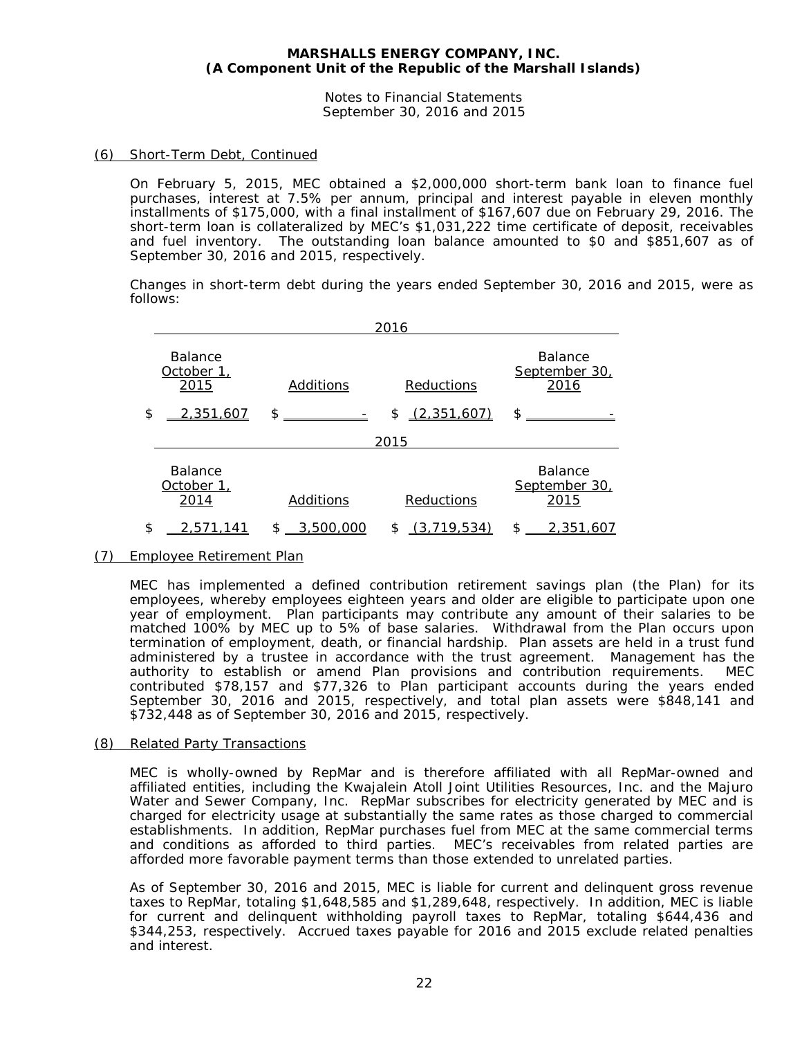Notes to Financial Statements September 30, 2016 and 2015

# (6) Short-Term Debt, Continued

On February 5, 2015, MEC obtained a \$2,000,000 short-term bank loan to finance fuel purchases, interest at 7.5% per annum, principal and interest payable in eleven monthly installments of \$175,000, with a final installment of \$167,607 due on February 29, 2016. The short-term loan is collateralized by MEC's \$1,031,222 time certificate of deposit, receivables and fuel inventory. The outstanding loan balance amounted to \$0 and \$851,607 as of September 30, 2016 and 2015, respectively.

Changes in short-term debt during the years ended September 30, 2016 and 2015, were as follows:

| 2016                                 |                              |                   |                                         |  |  |  |  |
|--------------------------------------|------------------------------|-------------------|-----------------------------------------|--|--|--|--|
| <b>Balance</b><br>October 1,<br>2015 | Additions                    | Reductions        | <b>Balance</b><br>September 30,<br>2016 |  |  |  |  |
| \$<br>2 351.607                      | \$<br><u>_______</u> _______ | (2.351.607)<br>\$ | \$                                      |  |  |  |  |
|                                      |                              | 2015              |                                         |  |  |  |  |
| <b>Balance</b><br>October 1,<br>2014 | Additions                    | Reductions        | <b>Balance</b><br>September 30,<br>2015 |  |  |  |  |
| \$<br>2.5                            | \$.<br>3,500,000             | (3,719,534)<br>\$ | \$<br>2,351,607                         |  |  |  |  |

# (7) Employee Retirement Plan

MEC has implemented a defined contribution retirement savings plan (the Plan) for its employees, whereby employees eighteen years and older are eligible to participate upon one year of employment. Plan participants may contribute any amount of their salaries to be matched 100% by MEC up to 5% of base salaries. Withdrawal from the Plan occurs upon termination of employment, death, or financial hardship. Plan assets are held in a trust fund administered by a trustee in accordance with the trust agreement. Management has the authority to establish or amend Plan provisions and contribution requirements. MEC contributed \$78,157 and \$77,326 to Plan participant accounts during the years ended September 30, 2016 and 2015, respectively, and total plan assets were \$848,141 and \$732,448 as of September 30, 2016 and 2015, respectively.

#### (8) Related Party Transactions

MEC is wholly-owned by RepMar and is therefore affiliated with all RepMar-owned and affiliated entities, including the Kwajalein Atoll Joint Utilities Resources, Inc. and the Majuro Water and Sewer Company, Inc. RepMar subscribes for electricity generated by MEC and is charged for electricity usage at substantially the same rates as those charged to commercial establishments. In addition, RepMar purchases fuel from MEC at the same commercial terms and conditions as afforded to third parties. MEC's receivables from related parties are afforded more favorable payment terms than those extended to unrelated parties.

As of September 30, 2016 and 2015, MEC is liable for current and delinquent gross revenue taxes to RepMar, totaling \$1,648,585 and \$1,289,648, respectively. In addition, MEC is liable for current and delinquent withholding payroll taxes to RepMar, totaling \$644,436 and \$344,253, respectively. Accrued taxes payable for 2016 and 2015 exclude related penalties and interest.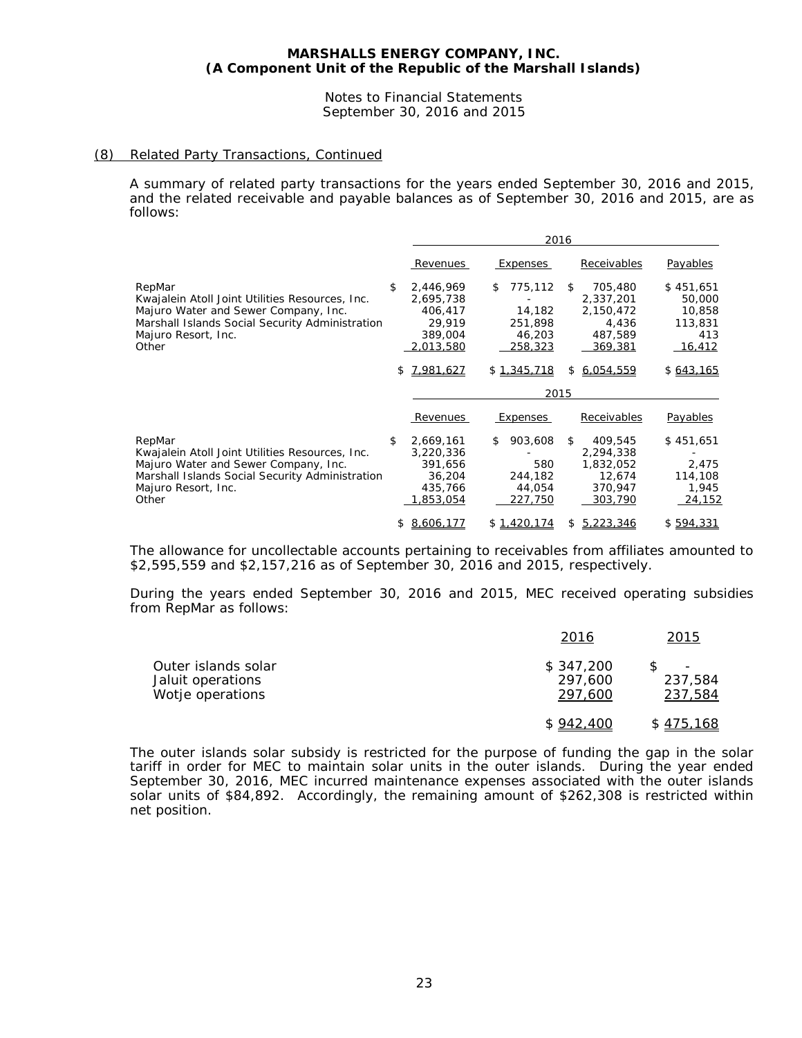#### Notes to Financial Statements September 30, 2016 and 2015

# (8) Related Party Transactions, Continued

A summary of related party transactions for the years ended September 30, 2016 and 2015, and the related receivable and payable balances as of September 30, 2016 and 2015, are as follows:

|                                                                                                                                                                                      | 2016                                                                      |    |                                                   |                |                                                                   |                                                                  |
|--------------------------------------------------------------------------------------------------------------------------------------------------------------------------------------|---------------------------------------------------------------------------|----|---------------------------------------------------|----------------|-------------------------------------------------------------------|------------------------------------------------------------------|
|                                                                                                                                                                                      | Revenues                                                                  |    | Expenses                                          |                | <b>Receivables</b>                                                | <b>Payables</b>                                                  |
| RepMar<br>Kwajalein Atoll Joint Utilities Resources, Inc.<br>Majuro Water and Sewer Company, Inc.<br>Marshall Islands Social Security Administration<br>Majuro Resort, Inc.<br>Other | \$<br>2,446,969<br>2,695,738<br>406,417<br>29.919<br>389,004<br>2,013,580 | \$ | 775,112<br>14,182<br>251,898<br>46,203<br>258,323 | $\mathfrak{L}$ | 705,480<br>2,337,201<br>2,150,472<br>4,436<br>487,589<br>369,381  | \$451,651<br>50,000<br>10,858<br>113,831<br>413<br><u>16,412</u> |
|                                                                                                                                                                                      | \$<br>7.981.627                                                           |    | \$1.345.718<br>2015                               | \$             | 6.054.559                                                         | \$643,165                                                        |
|                                                                                                                                                                                      |                                                                           |    |                                                   |                |                                                                   |                                                                  |
|                                                                                                                                                                                      | Revenues                                                                  |    | Expenses                                          |                | Receivables                                                       | <b>Payables</b>                                                  |
| RepMar<br>Kwajalein Atoll Joint Utilities Resources, Inc.<br>Majuro Water and Sewer Company, Inc.<br>Marshall Islands Social Security Administration<br>Majuro Resort, Inc.<br>Other | \$<br>2,669,161<br>3,220,336<br>391,656<br>36,204<br>435,766<br>1,853,054 | \$ | 903,608<br>580<br>244,182<br>44,054<br>227,750    | \$             | 409,545<br>2,294,338<br>1,832,052<br>12,674<br>370,947<br>303,790 | \$451,651<br>2,475<br>114,108<br>1,945<br>24,152                 |
|                                                                                                                                                                                      | \$<br>8.606.177                                                           |    | \$1,420,174                                       | \$             | 5.223.346                                                         | \$594.331                                                        |

The allowance for uncollectable accounts pertaining to receivables from affiliates amounted to \$2,595,559 and \$2,157,216 as of September 30, 2016 and 2015, respectively.

During the years ended September 30, 2016 and 2015, MEC received operating subsidies from RepMar as follows:

|                                                              | 2016                            | 2015                                    |
|--------------------------------------------------------------|---------------------------------|-----------------------------------------|
| Outer islands solar<br>Jaluit operations<br>Wotje operations | \$347,200<br>297,600<br>297,600 | $\qquad \qquad -$<br>237,584<br>237,584 |
|                                                              | \$942,400                       | \$475,168                               |

The outer islands solar subsidy is restricted for the purpose of funding the gap in the solar tariff in order for MEC to maintain solar units in the outer islands. During the year ended September 30, 2016, MEC incurred maintenance expenses associated with the outer islands solar units of \$84,892. Accordingly, the remaining amount of \$262,308 is restricted within net position.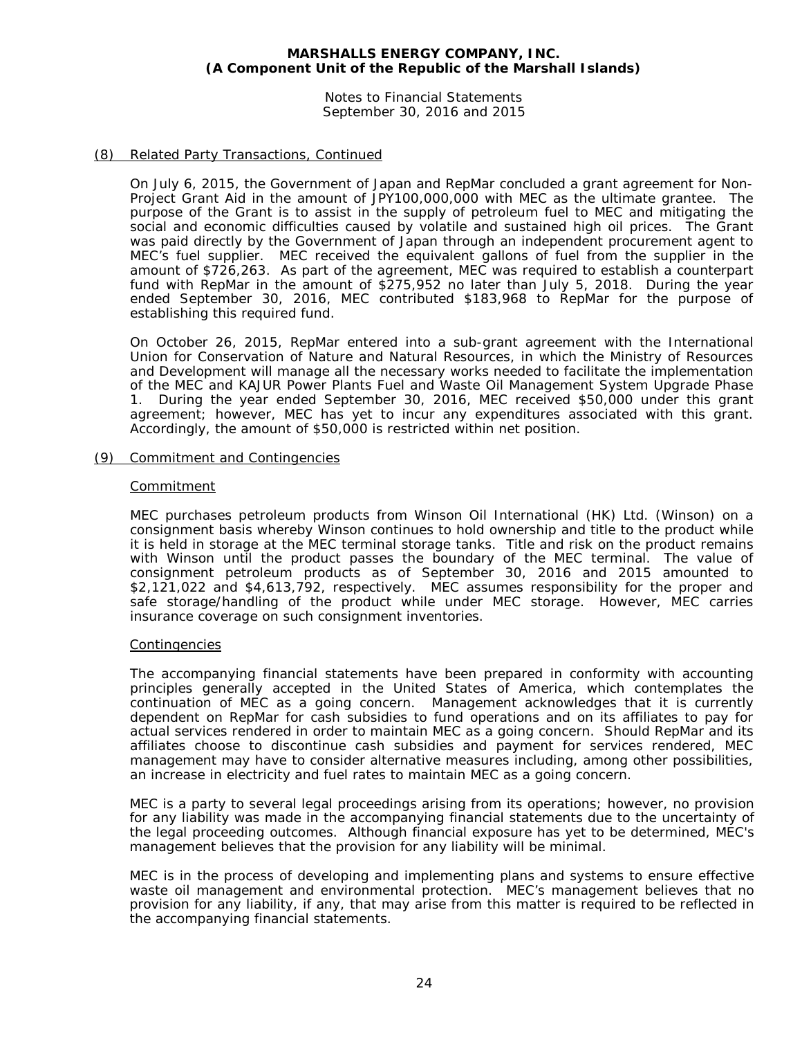Notes to Financial Statements September 30, 2016 and 2015

# (8) Related Party Transactions, Continued

On July 6, 2015, the Government of Japan and RepMar concluded a grant agreement for Non-Project Grant Aid in the amount of JPY100,000,000 with MEC as the ultimate grantee. The purpose of the Grant is to assist in the supply of petroleum fuel to MEC and mitigating the social and economic difficulties caused by volatile and sustained high oil prices. The Grant was paid directly by the Government of Japan through an independent procurement agent to MEC's fuel supplier. MEC received the equivalent gallons of fuel from the supplier in the amount of \$726,263. As part of the agreement, MEC was required to establish a counterpart fund with RepMar in the amount of \$275,952 no later than July 5, 2018. During the year ended September 30, 2016, MEC contributed \$183,968 to RepMar for the purpose of establishing this required fund.

On October 26, 2015, RepMar entered into a sub-grant agreement with the International Union for Conservation of Nature and Natural Resources, in which the Ministry of Resources and Development will manage all the necessary works needed to facilitate the implementation of the MEC and KAJUR Power Plants Fuel and Waste Oil Management System Upgrade Phase 1. During the year ended September 30, 2016, MEC received \$50,000 under this grant agreement; however, MEC has yet to incur any expenditures associated with this grant. Accordingly, the amount of \$50,000 is restricted within net position.

# (9) Commitment and Contingencies

# **Commitment**

MEC purchases petroleum products from Winson Oil International (HK) Ltd. (Winson) on a consignment basis whereby Winson continues to hold ownership and title to the product while it is held in storage at the MEC terminal storage tanks. Title and risk on the product remains with Winson until the product passes the boundary of the MEC terminal. The value of consignment petroleum products as of September 30, 2016 and 2015 amounted to \$2,121,022 and \$4,613,792, respectively. MEC assumes responsibility for the proper and safe storage/handling of the product while under MEC storage. However, MEC carries insurance coverage on such consignment inventories.

# **Contingencies**

The accompanying financial statements have been prepared in conformity with accounting principles generally accepted in the United States of America, which contemplates the continuation of MEC as a going concern. Management acknowledges that it is currently dependent on RepMar for cash subsidies to fund operations and on its affiliates to pay for actual services rendered in order to maintain MEC as a going concern. Should RepMar and its affiliates choose to discontinue cash subsidies and payment for services rendered, MEC management may have to consider alternative measures including, among other possibilities, an increase in electricity and fuel rates to maintain MEC as a going concern.

MEC is a party to several legal proceedings arising from its operations; however, no provision for any liability was made in the accompanying financial statements due to the uncertainty of the legal proceeding outcomes. Although financial exposure has yet to be determined, MEC's management believes that the provision for any liability will be minimal.

MEC is in the process of developing and implementing plans and systems to ensure effective waste oil management and environmental protection. MEC's management believes that no provision for any liability, if any, that may arise from this matter is required to be reflected in the accompanying financial statements.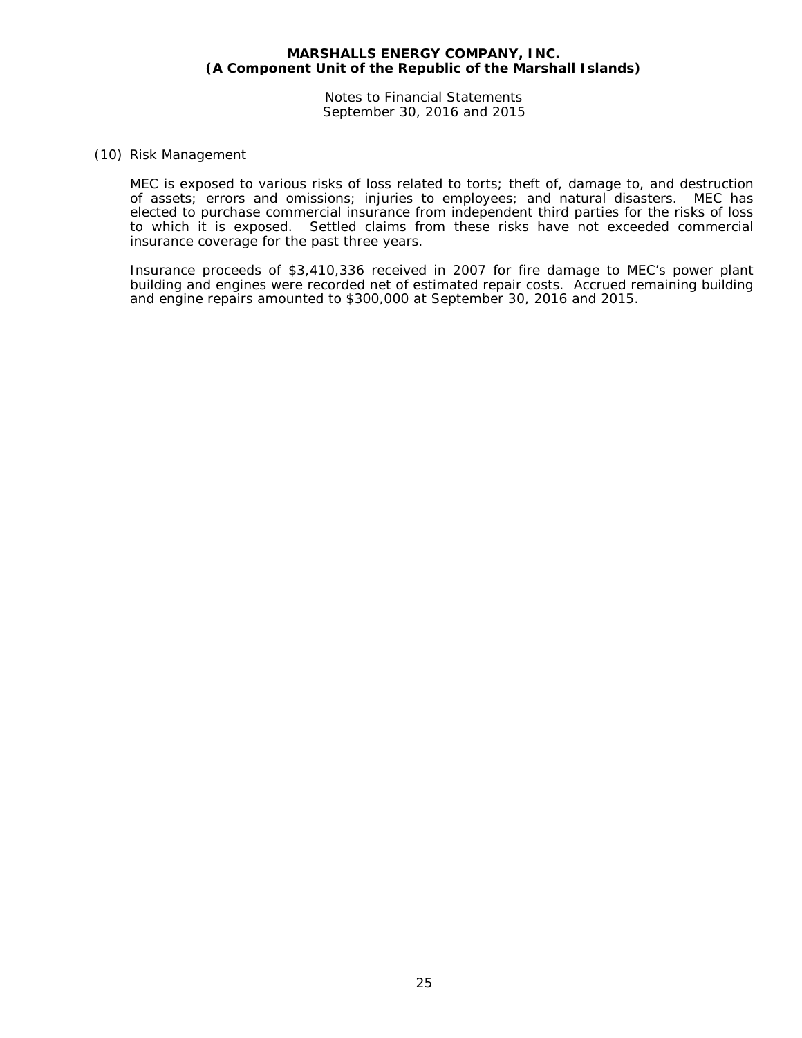Notes to Financial Statements September 30, 2016 and 2015

# (10) Risk Management

MEC is exposed to various risks of loss related to torts; theft of, damage to, and destruction of assets; errors and omissions; injuries to employees; and natural disasters. MEC has elected to purchase commercial insurance from independent third parties for the risks of loss to which it is exposed. Settled claims from these risks have not exceeded commercial insurance coverage for the past three years.

Insurance proceeds of \$3,410,336 received in 2007 for fire damage to MEC's power plant building and engines were recorded net of estimated repair costs. Accrued remaining building and engine repairs amounted to \$300,000 at September 30, 2016 and 2015.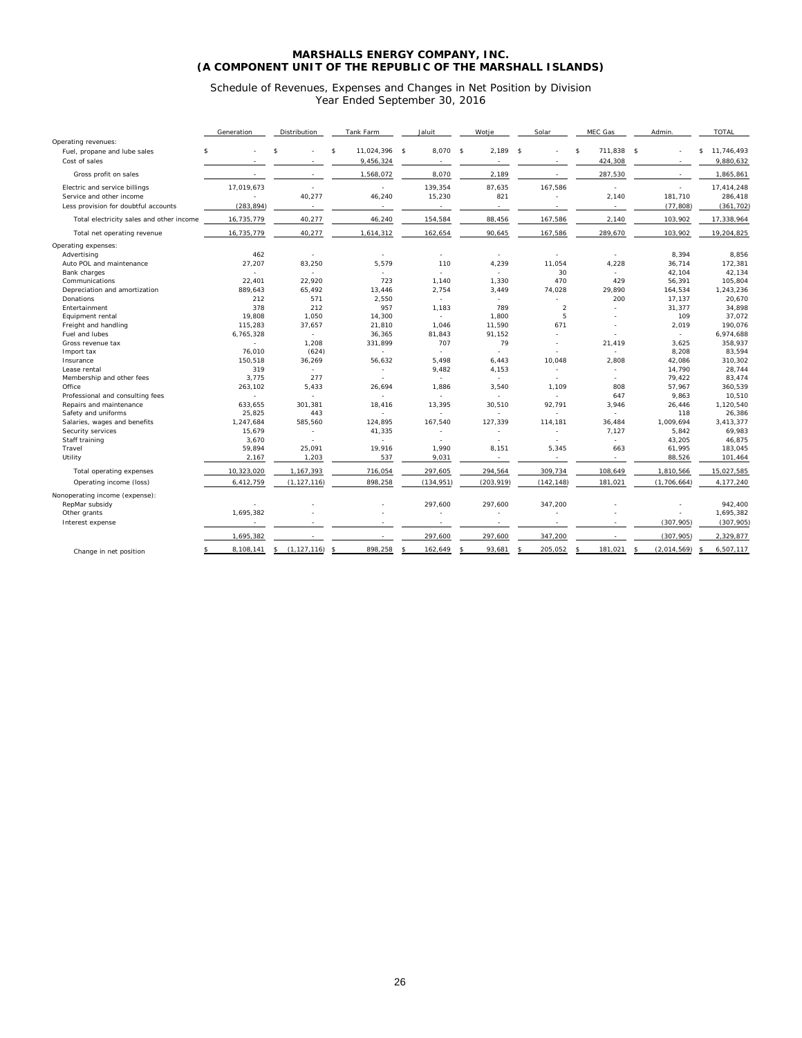Schedule of Revenues, Expenses and Changes in Net Position by Division Year Ended September 30, 2016

|                                          | Generation      | Distribution             | Tank Farm                           | Jaluit        | Wotje                        | Solar                    | MEC Gas                            | Admin.            | <b>TOTAL</b>     |
|------------------------------------------|-----------------|--------------------------|-------------------------------------|---------------|------------------------------|--------------------------|------------------------------------|-------------------|------------------|
| Operating revenues:                      |                 |                          |                                     |               |                              |                          |                                    |                   |                  |
| Fuel, propane and lube sales             | \$              | $\mathcal{S}$            | 11,024,396 \$<br>$\mathbf{\hat{S}}$ | 8,070 \$      | 2,189                        | $\mathbf{s}$<br>٠        | 711,838<br>$\mathbf{\hat{S}}$      | $\mathsf{s}$      | 11,746,493<br>\$ |
| Cost of sales                            |                 |                          | 9,456,324                           |               |                              | $\overline{\phantom{a}}$ | 424,308                            |                   | 9,880,632        |
| Gross profit on sales                    | ÷               | $\sim$                   | 1,568,072                           | 8,070         | 2,189                        | $\sim$                   | 287,530                            | $\sim$            | 1,865,861        |
| Electric and service billings            | 17,019,673      | ÷.                       | $\sim$                              | 139,354       | 87,635                       | 167,586                  | ÷.                                 | ٠                 | 17,414,248       |
| Service and other income                 |                 | 40,277                   | 46,240                              | 15,230        | 821                          | ٠                        | 2,140                              | 181,710           | 286,418          |
| Less provision for doubtful accounts     | (283, 894)      | $\overline{\phantom{a}}$ | $\sim$                              | $\sim$        | ٠                            |                          | $\sim$                             | (77, 808)         | (361, 702)       |
| Total electricity sales and other income | 16,735,779      | 40,277                   | 46,240                              | 154,584       | 88,456                       | 167,586                  | 2,140                              | 103,902           | 17,338,964       |
| Total net operating revenue              | 16,735,779      | 40,277                   | 1,614,312                           | 162,654       | 90.645                       | 167,586                  | 289.670                            | 103,902           | 19,204,825       |
| Operating expenses:                      |                 |                          |                                     |               |                              |                          |                                    |                   |                  |
| Advertising                              | 462             | ٠                        | $\sim$                              | ٠             | ٠                            |                          | $\overline{\phantom{a}}$           | 8,394             | 8,856            |
| Auto POL and maintenance                 | 27.207          | 83,250                   | 5.579                               | 110           | 4,239                        | 11.054                   | 4,228                              | 36,714            | 172,381          |
| Bank charges                             | ÷.              | ×                        | ÷                                   | ÷             | ÷                            | 30                       | ÷                                  | 42,104            | 42,134           |
| Communications                           | 22,401          | 22.920                   | 723                                 | 1,140         | 1,330                        | 470                      | 429                                | 56,391            | 105,804          |
| Depreciation and amortization            | 889.643         | 65.492                   | 13.446                              | 2,754         | 3,449                        | 74,028                   | 29.890                             | 164,534           | 1,243,236        |
| Donations                                | 212             | 571                      | 2,550                               |               |                              |                          | 200                                | 17,137            | 20,670           |
| Entertainment                            | 378             | 212                      | 957                                 | 1,183         | 789                          | $\overline{2}$           | ÷.                                 | 31,377            | 34,898           |
| Equipment rental                         | 19,808          | 1,050                    | 14,300                              | ÷.            | 1,800                        | 5                        |                                    | 109               | 37,072           |
| Freight and handling                     | 115,283         | 37.657                   | 21,810                              | 1.046         | 11.590                       | 671                      |                                    | 2,019             | 190,076          |
| Fuel and lubes                           | 6,765,328       | ÷.                       | 36,365                              | 81,843        | 91,152                       |                          |                                    | ٠                 | 6,974,688        |
| Gross revenue tax                        | $\sim$          | 1,208                    | 331,899                             | 707           | 79                           | ٠                        | 21.419                             | 3,625             | 358,937          |
| Import tax                               | 76.010          | (624)                    | ÷.                                  |               | ÷                            |                          | ÷                                  | 8,208             | 83,594           |
| Insurance                                | 150.518         | 36,269                   | 56.632                              | 5.498         | 6.443                        | 10.048                   | 2.808                              | 42,086            | 310,302          |
| Lease rental                             | 319             | ×                        | ٠                                   | 9,482         | 4,153                        | ٠                        | $\overline{\phantom{a}}$           | 14,790            | 28,744           |
| Membership and other fees                | 3,775           | 277                      |                                     |               |                              |                          |                                    | 79,422            | 83,474           |
| Office                                   | 263,102         | 5,433                    | 26,694                              | 1,886         | 3,540                        | 1,109                    | 808                                | 57,967            | 360,539          |
| Professional and consulting fees         | $\sim$          | ٠                        | ÷.                                  |               | ٠                            | $\sim$                   | 647                                | 9,863             | 10,510           |
| Repairs and maintenance                  | 633,655         | 301,381                  | 18,416                              | 13,395        | 30,510                       | 92,791                   | 3,946                              | 26,446            | 1,120,540        |
| Safety and uniforms                      | 25,825          | 443                      | ÷                                   |               |                              | ÷.                       |                                    | 118               | 26,386           |
| Salaries, wages and benefits             | 1,247,684       | 585,560                  | 124,895                             | 167,540       | 127,339                      | 114,181                  | 36,484                             | 1,009,694         | 3,413,377        |
| Security services                        | 15,679          | ÷.                       | 41,335                              |               |                              | ٠                        | 7,127                              | 5,842             | 69,983           |
| Staff training<br>Travel                 | 3.670<br>59.894 | ۰.                       | ÷.<br>19.916                        | ÷.<br>1.990   | ٠                            | ٠                        | $\mathcal{L}_{\mathcal{A}}$<br>663 | 43,205            | 46,875           |
|                                          |                 | 25,091                   |                                     |               | 8,151                        | 5,345                    |                                    | 61,995            | 183,045          |
| Utility                                  | 2,167           | 1,203                    | 537                                 | 9,031         | $\sim$                       | $\Delta$                 | $\sim$                             | 88,526            | 101,464          |
| Total operating expenses                 | 10,323,020      | 1,167,393                | 716,054                             | 297,605       | 294,564                      | 309,734                  | 108,649                            | 1,810,566         | 15,027,585       |
| Operating income (loss)                  | 6,412,759       | (1, 127, 116)            | 898,258                             | (134, 951)    | (203, 919)                   | (142, 148)               | 181,021                            | (1, 706, 664)     | 4,177,240        |
| Nonoperating income (expense):           |                 |                          |                                     |               |                              |                          |                                    |                   |                  |
| RepMar subsidy                           |                 |                          |                                     | 297,600       | 297,600                      | 347,200                  |                                    |                   | 942,400          |
| Other grants                             | 1,695,382       |                          |                                     |               |                              |                          |                                    |                   | 1,695,382        |
| Interest expense                         |                 |                          |                                     |               |                              |                          |                                    | (307, 905)        | (307, 905)       |
|                                          | 1,695,382       | $\overline{\phantom{a}}$ |                                     | 297,600       | 297,600                      | 347.200                  |                                    | (307, 905)        | 2,329,877        |
|                                          | 8,108,141       | (1, 127, 116)<br>\$      | 898,258<br>-8                       | 162.649<br>\$ | 93,681<br>$\mathbf{\hat{s}}$ | 205.052                  | 181.021<br>\$                      | (2.014.569)<br>ŝ. | 6.507.117        |
| Change in net position                   |                 |                          |                                     |               |                              |                          |                                    |                   |                  |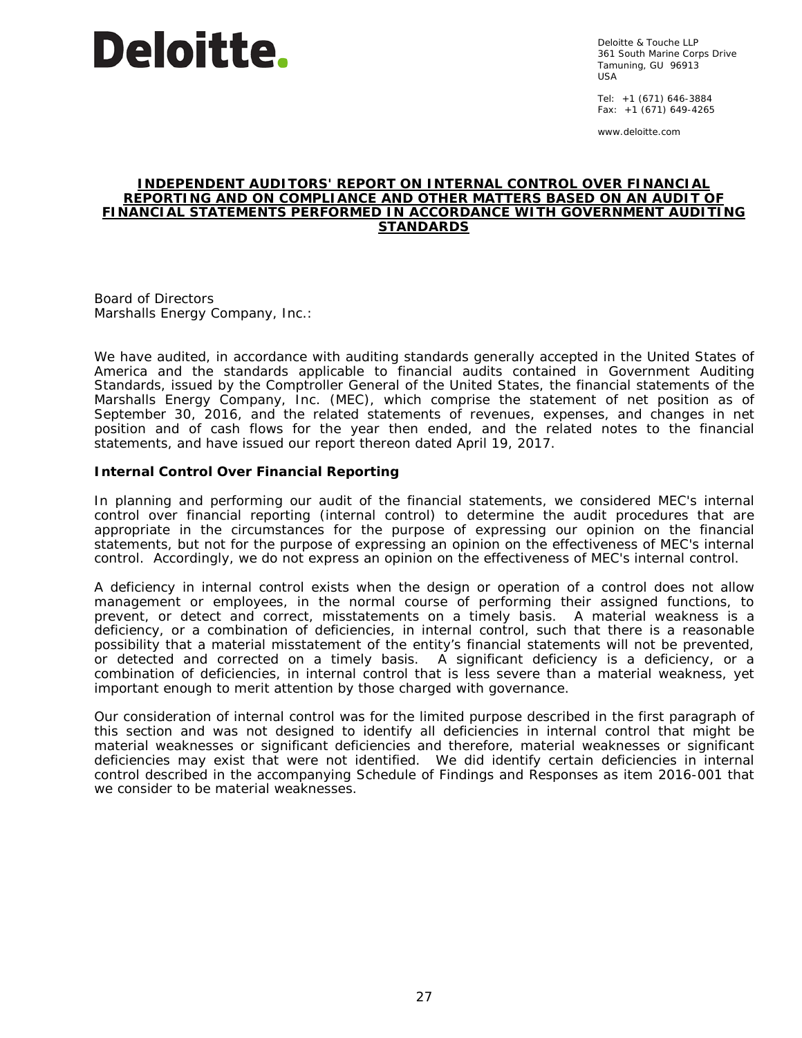

Deloitte & Touche LLP 361 South Marine Corps Drive Tamuning, GU 96913 USA

Tel: +1 (671) 646-3884 Fax: +1 (671) 649-4265

www.deloitte.com

# **INDEPENDENT AUDITORS' REPORT ON INTERNAL CONTROL OVER FINANCIAL REPORTING AND ON COMPLIANCE AND OTHER MATTERS BASED ON AN AUDIT OF FINANCIAL STATEMENTS PERFORMED IN ACCORDANCE WITH** *GOVERNMENT AUDITING STANDARDS*

Board of Directors Marshalls Energy Company, Inc.:

We have audited, in accordance with auditing standards generally accepted in the United States of America and the standards applicable to financial audits contained in *Government Auditing Standards,* issued by the Comptroller General of the United States, the financial statements of the Marshalls Energy Company, Inc. (MEC), which comprise the statement of net position as of September 30, 2016, and the related statements of revenues, expenses, and changes in net position and of cash flows for the year then ended, and the related notes to the financial statements, and have issued our report thereon dated April 19, 2017.

# **Internal Control Over Financial Reporting**

In planning and performing our audit of the financial statements, we considered MEC's internal control over financial reporting (internal control) to determine the audit procedures that are appropriate in the circumstances for the purpose of expressing our opinion on the financial statements, but not for the purpose of expressing an opinion on the effectiveness of MEC's internal control. Accordingly, we do not express an opinion on the effectiveness of MEC's internal control.

A *deficiency in internal control* exists when the design or operation of a control does not allow management or employees, in the normal course of performing their assigned functions, to prevent, or detect and correct, misstatements on a timely basis. A *material weakness* is a deficiency, or a combination of deficiencies, in internal control, such that there is a reasonable possibility that a material misstatement of the entity's financial statements will not be prevented, or detected and corrected on a timely basis. A *significant deficiency* is a deficiency, or a combination of deficiencies, in internal control that is less severe than a material weakness, yet important enough to merit attention by those charged with governance.

Our consideration of internal control was for the limited purpose described in the first paragraph of this section and was not designed to identify all deficiencies in internal control that might be material weaknesses or significant deficiencies and therefore, material weaknesses or significant deficiencies may exist that were not identified. We did identify certain deficiencies in internal control described in the accompanying Schedule of Findings and Responses as item 2016-001 that we consider to be material weaknesses.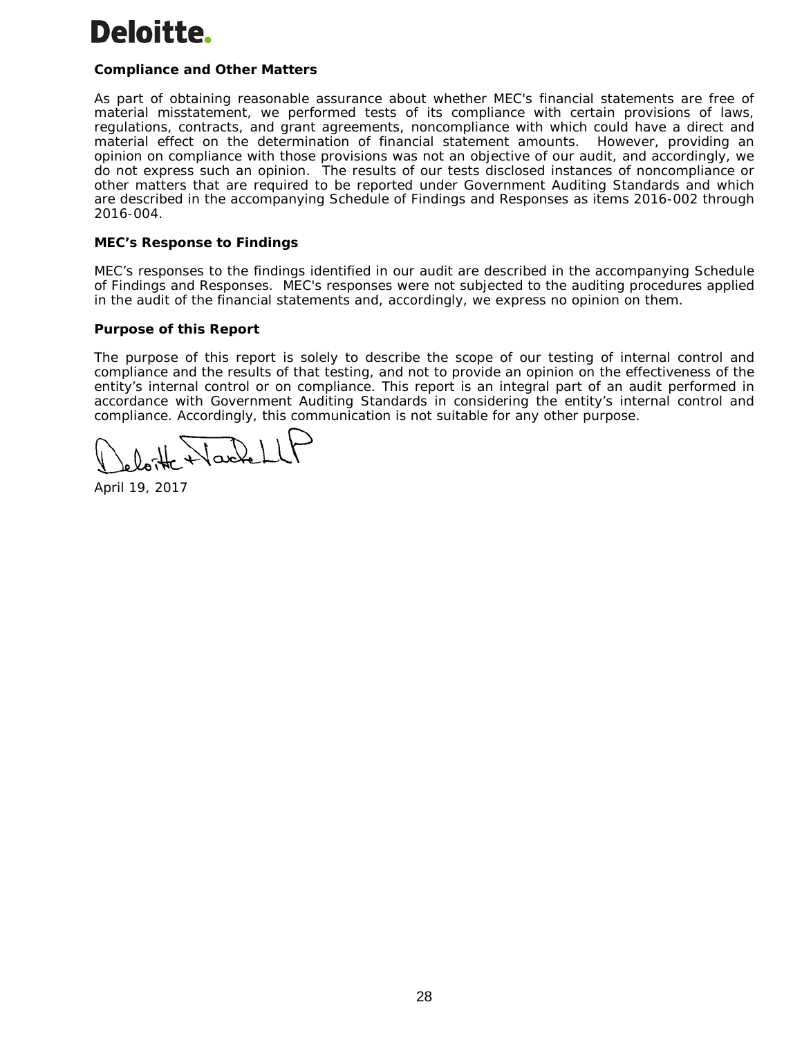# Deloitte.

# **Compliance and Other Matters**

As part of obtaining reasonable assurance about whether MEC's financial statements are free of material misstatement, we performed tests of its compliance with certain provisions of laws, regulations, contracts, and grant agreements, noncompliance with which could have a direct and material effect on the determination of financial statement amounts. However, providing an opinion on compliance with those provisions was not an objective of our audit, and accordingly, we do not express such an opinion. The results of our tests disclosed instances of noncompliance or other matters that are required to be reported under *Government Auditing Standards* and which are described in the accompanying Schedule of Findings and Responses as items 2016-002 through 2016-004.

# **MEC's Response to Findings**

MEC's responses to the findings identified in our audit are described in the accompanying Schedule of Findings and Responses. MEC's responses were not subjected to the auditing procedures applied in the audit of the financial statements and, accordingly, we express no opinion on them.

# **Purpose of this Report**

The purpose of this report is solely to describe the scope of our testing of internal control and compliance and the results of that testing, and not to provide an opinion on the effectiveness of the entity's internal control or on compliance. This report is an integral part of an audit performed in accordance with *Government Auditing Standards* in considering the entity's internal control and compliance. Accordingly, this communication is not suitable for any other purpose.

Jacke

April 19, 2017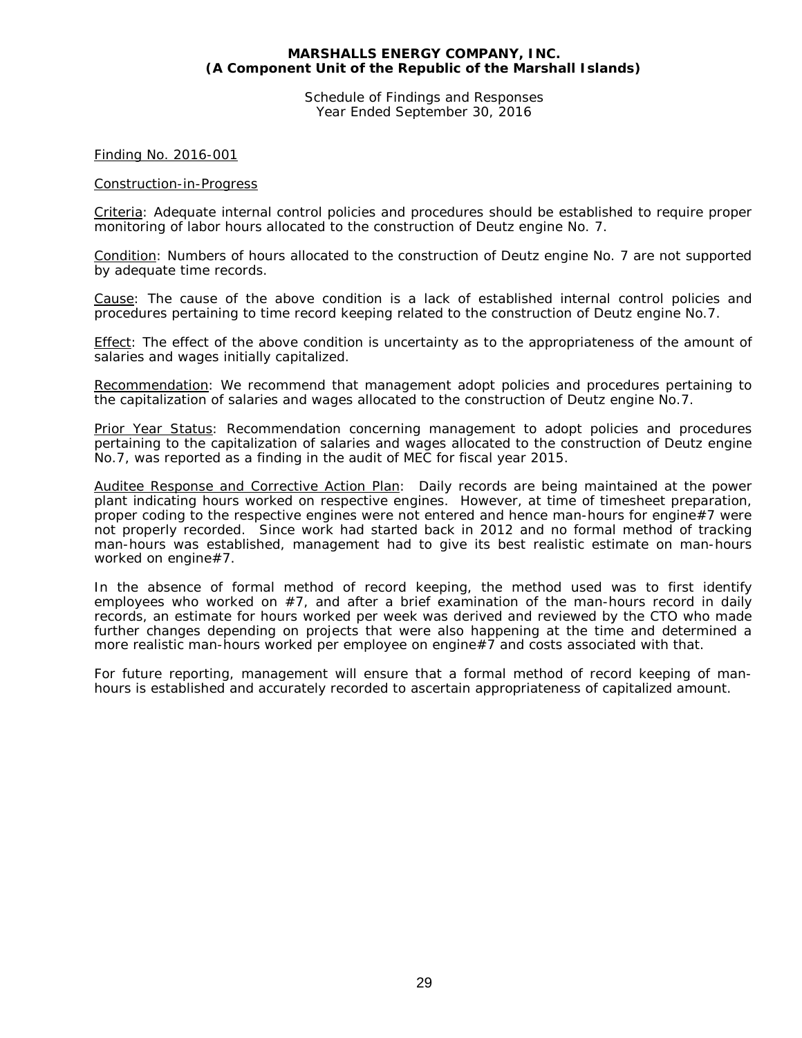Schedule of Findings and Responses Year Ended September 30, 2016

Finding No. 2016-001

# Construction-in-Progress

Criteria: Adequate internal control policies and procedures should be established to require proper monitoring of labor hours allocated to the construction of Deutz engine No. 7.

Condition: Numbers of hours allocated to the construction of Deutz engine No. 7 are not supported by adequate time records.

Cause: The cause of the above condition is a lack of established internal control policies and procedures pertaining to time record keeping related to the construction of Deutz engine No.7.

Effect: The effect of the above condition is uncertainty as to the appropriateness of the amount of salaries and wages initially capitalized.

Recommendation: We recommend that management adopt policies and procedures pertaining to the capitalization of salaries and wages allocated to the construction of Deutz engine No.7.

Prior Year Status: Recommendation concerning management to adopt policies and procedures pertaining to the capitalization of salaries and wages allocated to the construction of Deutz engine No.7, was reported as a finding in the audit of MEC for fiscal year 2015.

Auditee Response and Corrective Action Plan: Daily records are being maintained at the power plant indicating hours worked on respective engines. However, at time of timesheet preparation, proper coding to the respective engines were not entered and hence man-hours for engine#7 were not properly recorded. Since work had started back in 2012 and no formal method of tracking man-hours was established, management had to give its best realistic estimate on man-hours worked on engine#7.

In the absence of formal method of record keeping, the method used was to first identify employees who worked on  $#7$ , and after a brief examination of the man-hours record in daily records, an estimate for hours worked per week was derived and reviewed by the CTO who made further changes depending on projects that were also happening at the time and determined a more realistic man-hours worked per employee on engine#7 and costs associated with that.

For future reporting, management will ensure that a formal method of record keeping of manhours is established and accurately recorded to ascertain appropriateness of capitalized amount.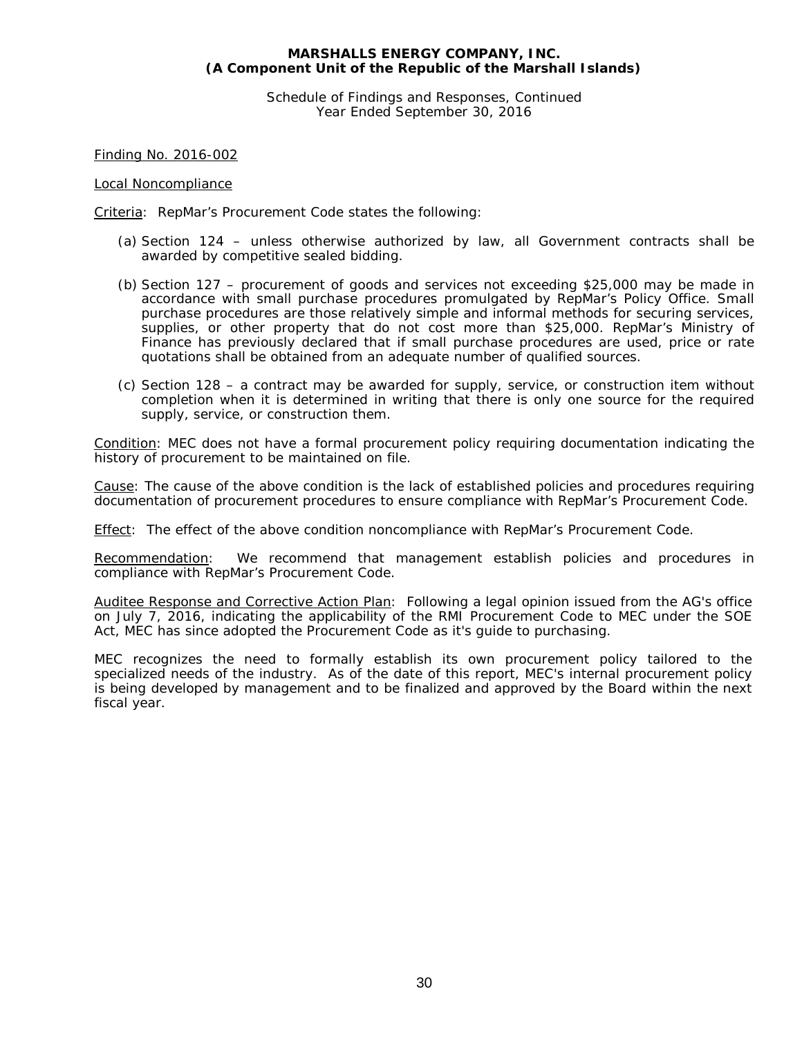Schedule of Findings and Responses, Continued Year Ended September 30, 2016

Finding No. 2016-002

# Local Noncompliance

Criteria: RepMar's Procurement Code states the following:

- (a) Section 124 unless otherwise authorized by law, all Government contracts shall be awarded by competitive sealed bidding.
- (b) Section 127 procurement of goods and services not exceeding \$25,000 may be made in accordance with small purchase procedures promulgated by RepMar's Policy Office. Small purchase procedures are those relatively simple and informal methods for securing services, supplies, or other property that do not cost more than \$25,000. RepMar's Ministry of Finance has previously declared that if small purchase procedures are used, price or rate quotations shall be obtained from an adequate number of qualified sources.
- (c) Section 128 a contract may be awarded for supply, service, or construction item without completion when it is determined in writing that there is only one source for the required supply, service, or construction them.

Condition: MEC does not have a formal procurement policy requiring documentation indicating the history of procurement to be maintained on file.

Cause: The cause of the above condition is the lack of established policies and procedures requiring documentation of procurement procedures to ensure compliance with RepMar's Procurement Code.

Effect: The effect of the above condition noncompliance with RepMar's Procurement Code.

Recommendation: We recommend that management establish policies and procedures in compliance with RepMar's Procurement Code.

Auditee Response and Corrective Action Plan: Following a legal opinion issued from the AG's office on July 7, 2016, indicating the applicability of the RMI Procurement Code to MEC under the SOE Act, MEC has since adopted the Procurement Code as it's guide to purchasing.

MEC recognizes the need to formally establish its own procurement policy tailored to the specialized needs of the industry. As of the date of this report, MEC's internal procurement policy is being developed by management and to be finalized and approved by the Board within the next fiscal year.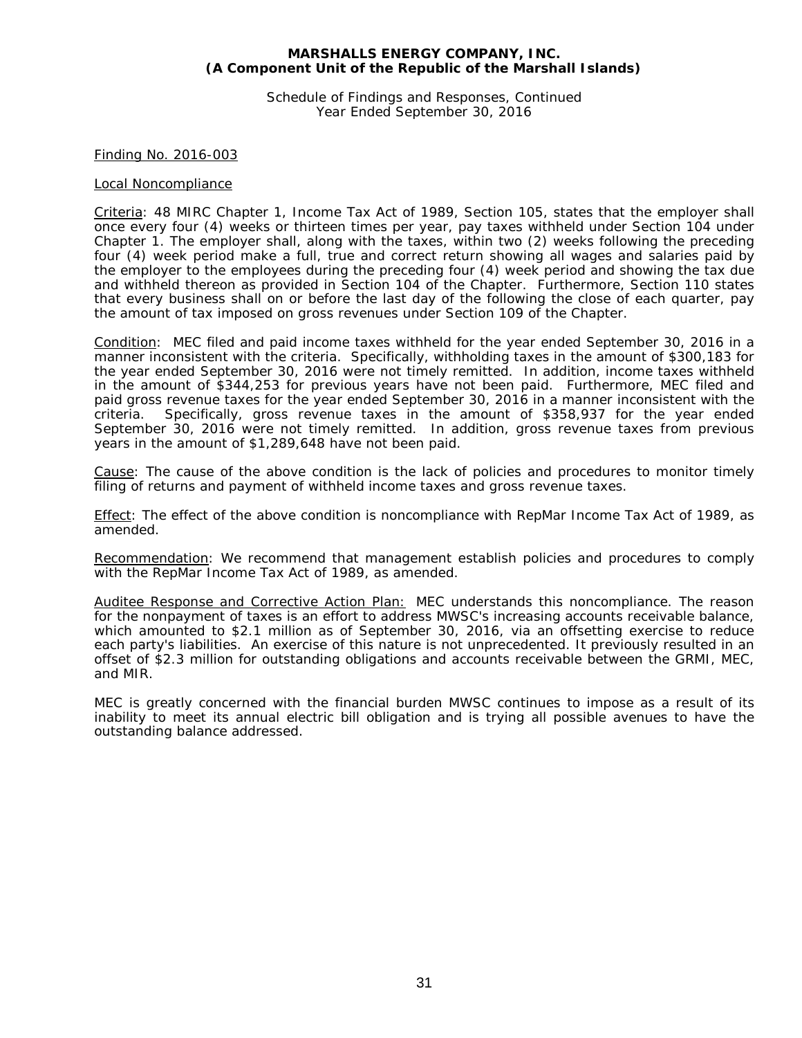Schedule of Findings and Responses, Continued Year Ended September 30, 2016

# Finding No. 2016-003

#### Local Noncompliance

Criteria: 48 MIRC Chapter 1, Income Tax Act of 1989, Section 105, states that the employer shall once every four (4) weeks or thirteen times per year, pay taxes withheld under Section 104 under Chapter 1. The employer shall, along with the taxes, within two (2) weeks following the preceding four (4) week period make a full, true and correct return showing all wages and salaries paid by the employer to the employees during the preceding four (4) week period and showing the tax due and withheld thereon as provided in Section 104 of the Chapter. Furthermore, Section 110 states that every business shall on or before the last day of the following the close of each quarter, pay the amount of tax imposed on gross revenues under Section 109 of the Chapter.

Condition: MEC filed and paid income taxes withheld for the year ended September 30, 2016 in a manner inconsistent with the criteria. Specifically, withholding taxes in the amount of \$300,183 for the year ended September 30, 2016 were not timely remitted. In addition, income taxes withheld in the amount of \$344,253 for previous years have not been paid. Furthermore, MEC filed and paid gross revenue taxes for the year ended September 30, 2016 in a manner inconsistent with the criteria. Specifically, gross revenue taxes in the amount of \$358,937 for the year ended September 30, 2016 were not timely remitted. In addition, gross revenue taxes from previous years in the amount of \$1,289,648 have not been paid.

Cause: The cause of the above condition is the lack of policies and procedures to monitor timely filing of returns and payment of withheld income taxes and gross revenue taxes.

Effect: The effect of the above condition is noncompliance with RepMar Income Tax Act of 1989, as amended.

Recommendation: We recommend that management establish policies and procedures to comply with the RepMar Income Tax Act of 1989, as amended.

Auditee Response and Corrective Action Plan: MEC understands this noncompliance. The reason for the nonpayment of taxes is an effort to address MWSC's increasing accounts receivable balance, which amounted to \$2.1 million as of September 30, 2016, via an offsetting exercise to reduce each party's liabilities. An exercise of this nature is not unprecedented. It previously resulted in an offset of \$2.3 million for outstanding obligations and accounts receivable between the GRMI, MEC, and MIR.

MEC is greatly concerned with the financial burden MWSC continues to impose as a result of its inability to meet its annual electric bill obligation and is trying all possible avenues to have the outstanding balance addressed.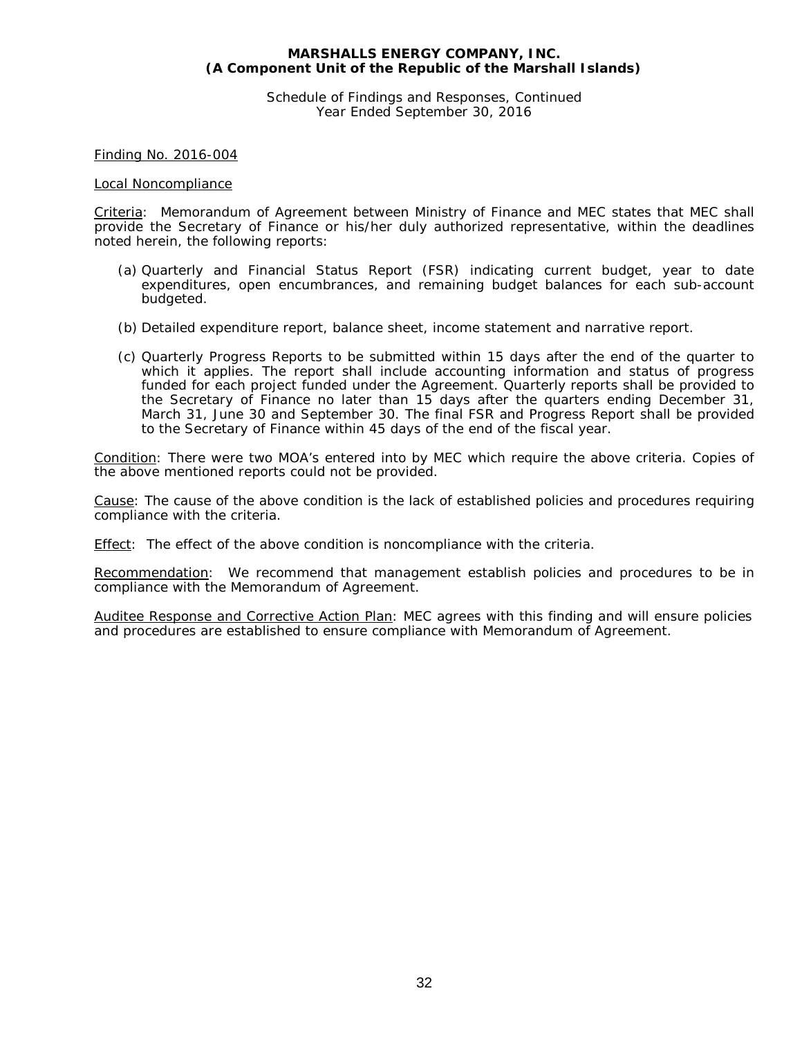Schedule of Findings and Responses, Continued Year Ended September 30, 2016

Finding No. 2016-004

#### Local Noncompliance

Criteria: Memorandum of Agreement between Ministry of Finance and MEC states that MEC shall provide the Secretary of Finance or his/her duly authorized representative, within the deadlines noted herein, the following reports:

- (a) Quarterly and Financial Status Report (FSR) indicating current budget, year to date expenditures, open encumbrances, and remaining budget balances for each sub-account budgeted.
- (b) Detailed expenditure report, balance sheet, income statement and narrative report.
- (c) Quarterly Progress Reports to be submitted within 15 days after the end of the quarter to which it applies. The report shall include accounting information and status of progress funded for each project funded under the Agreement. Quarterly reports shall be provided to the Secretary of Finance no later than 15 days after the quarters ending December 31, March 31, June 30 and September 30. The final FSR and Progress Report shall be provided to the Secretary of Finance within 45 days of the end of the fiscal year.

Condition: There were two MOA's entered into by MEC which require the above criteria. Copies of the above mentioned reports could not be provided.

Cause: The cause of the above condition is the lack of established policies and procedures requiring compliance with the criteria.

Effect: The effect of the above condition is noncompliance with the criteria.

Recommendation: We recommend that management establish policies and procedures to be in compliance with the Memorandum of Agreement.

Auditee Response and Corrective Action Plan: MEC agrees with this finding and will ensure policies and procedures are established to ensure compliance with Memorandum of Agreement.